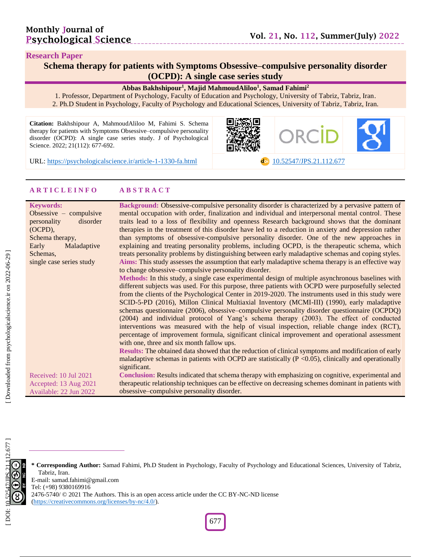#### **Research Paper**

## **Schema therapy for patients with Symptoms Obsessive –compulsive personality disorder (OCPD): A single case series study**

#### **Abbas Bakhshipour 1 , Majid MahmoudAliloo 1 , Samad Fahimi 2**

1. Professor, Department of Psychology, Faculty of Education and Psychology, University of Tabriz, Tabriz, Iran . 2. Ph.D Student in Psychology, Faculty of Psychology and Educational Sciences, University of Tabriz, Tabriz, Iran.

**Citation:** Bakhshipour A, MahmoudAliloo M, Fahimi S. Schema therapy for patients with Symptoms Obsessive –compulsive personality disorder (OCPD): A single case series study. J of Psychological Science. 2022; 21(112): 677-692.



URL: [https://psychologicalscience.ir/article](https://psychologicalscience.ir/article-1-1330-fa.html)-1-1330

-fa.html **d**oi [10.52547/JPS.21.11](https://psychologicalscience.ir/article-1-1330-fa.html)2.677

#### **A R T I C L E I N F O A B S T R A C T**

| <b>Keywords:</b>         | Background: Obsessive-compulsive personality disorder is characterized by a pervasive pattern of          |
|--------------------------|-----------------------------------------------------------------------------------------------------------|
| Obsessive $-$ compulsive | mental occupation with order, finalization and individual and interpersonal mental control. These         |
| personality<br>disorder  | traits lead to a loss of flexibility and openness Research background shows that the dominant             |
| (OCPD),                  | therapies in the treatment of this disorder have led to a reduction in anxiety and depression rather      |
| Schema therapy,          | than symptoms of obsessive-compulsive personality disorder. One of the new approaches in                  |
| Early<br>Maladaptive     | explaining and treating personality problems, including OCPD, is the therapeutic schema, which            |
| Schemas,                 | treats personality problems by distinguishing between early maladaptive schemas and coping styles.        |
| single case series study | Aims: This study assesses the assumption that early maladaptive schema therapy is an effective way        |
|                          | to change obsessive-compulsive personality disorder.                                                      |
|                          | Methods: In this study, a single case experimental design of multiple asynchronous baselines with         |
|                          | different subjects was used. For this purpose, three patients with OCPD were purposefully selected        |
|                          | from the clients of the Psychological Center in 2019-2020. The instruments used in this study were        |
|                          | SCID-5-PD (2016), Millon Clinical Multiaxial Inventory (MCMI-III) (1990), early maladaptive               |
|                          | schemas questionnaire (2006), obsessive–compulsive personality disorder questionnaire (OCPDQ)             |
|                          | (2004) and individual protocol of Yang's schema therapy (2003). The effect of conducted                   |
|                          | interventions was measured with the help of visual inspection, reliable change index (RCT),               |
|                          | percentage of improvement formula, significant clinical improvement and operational assessment            |
|                          | with one, three and six month fallow ups.                                                                 |
|                          | Results: The obtained data showed that the reduction of clinical symptoms and modification of early       |
|                          | maladaptive schemas in patients with OCPD are statistically $(P \le 0.05)$ , clinically and operationally |
|                          | significant.                                                                                              |
| Received: 10 Jul 2021    | Conclusion: Results indicated that schema therapy with emphasizing on cognitive, experimental and         |
| Accepted: 13 Aug 2021    | therapeutic relationship techniques can be effective on decreasing schemes dominant in patients with      |
| Available: 22 Jun 2022   | obsessive-compulsive personality disorder.                                                                |

**\* Corresponding Author:** Samad Fahimi , Ph.D Student in Psychology, Faculty of Psychology and Educational Sciences, University of Tabriz, Tabriz, Iran.

E -mail: samad.fahimi@gmail.com Tel: (+98) 9380169916

2476-5740/ © 2021 The Authors. This is an open access article under the CC BY-NC-ND license [\(https://creativecommons.org/licenses/by](https://creativecommons.org/licenses/by-nc/4.0/) -nc/4.0/).

677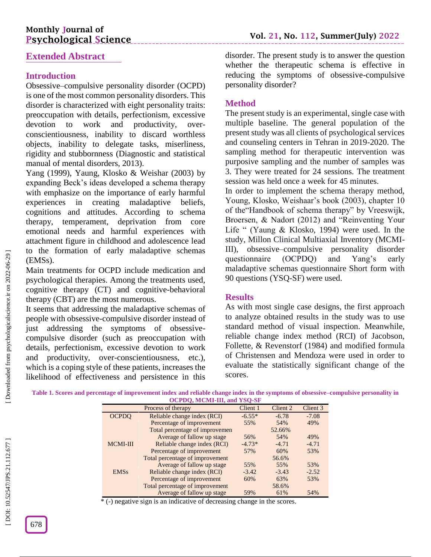# **Monthly Journal of Psychological Science**

# **Extended Abstract**

# **Introduction**

Obsessive –compulsive personality disorder (OCPD) is one of the most common personality disorders. This disorder is characterized with eight personality traits: preoccupation with details, perfectionism, excessive devotion to work and productivity, over conscientiousness, inability to discard worthless objects, inability to delegate tasks, miserliness, rigidity and stubbornness (Diagnostic and statistical manual of mental disorders, 2013).

Yang (1999), Yaung, Klosko & Weishar (2003) by expanding Beck's ideas developed a schema therapy with emphasize on the importance of early harmful experiences in creating maladaptive beliefs, cognitions and attitudes. According to schema therapy, temperament, deprivation from core emotional needs and harmful experiences with attachment figure in childhood and adolescence lead to the formation of early maladaptive schemas (EMSs).

Main treatments for OCPD include medication and psychological therapies. Among the treatments used, cognitive therapy (CT) and cognitive -behavioral therapy (CBT) are the most numerous.

It seems that addressing the maladaptive schemas of people with obsessive -compulsive disorder instead of just addressing the symptoms of obsessivecompulsive disorder (such as preoccupation with details, perfectionism, excessive devotion to work and productivity, over -conscientiousness, etc.), which is a coping style of these patients, increases the likelihood of effectiveness and persistence in this

disorder. The present study is to answer the question whether the therapeutic schema is effective in reducing the symptoms of obsessive -compulsive personality disorder?

# **Method**

The present study is an experimental, single case with multiple baseline. The general population of the present study was all clients of psychological services and counseling centers in Tehran in 2019 -2020. The sampling method for therapeutic intervention was purposive sampling and the number of samples was 3. They were treated for 24 sessions. The treatment session was held once a week for 45 minutes.

In order to implement the schema therapy method, Young, Klosko, Weishaar's book (2003), chapter 10 of the"Handbook of schema therapy" by Vreeswijk, Broersen, & Nadort (2012) and "Reinventing Your Life " (Yaung & Klosko, 1994) were used. In the study, Millon Clinical Multiaxial Inventory (MCMI - III), obsessive –compulsive personality disorder questionnaire (OCPDQ) and Yang's early maladaptive schemas questionnaire Short form with 90 questions (YSQ -SF) were used.

## **Results**

As with most single case designs, the first approach to analyze obtained results in the study was to use standard method of visual inspection. Meanwhile, reliable change index method (RCI) of Jacobson, Follette, & Revenstorf (1984) and modified formula of Christensen and Mendoza were used in order to evaluate the statistically significant change of the scores.

**Table 1. Scores and percentage of improvement index and reliable change index in the symptoms of obsessive –compulsive personality in OCPDQ, MCMI -III, and YSQ -SF**

|                 | Process of therapy              | Client 1 | Client 2 | Client 3 |
|-----------------|---------------------------------|----------|----------|----------|
| <b>OCPDO</b>    | Reliable change index (RCI)     | $-6.55*$ | $-6.78$  | $-7.08$  |
|                 | Percentage of improvement       | 55%      | 54%      | 49%      |
|                 | Total percentage of improvement |          | 52.66%   |          |
|                 | Average of fallow up stage      | 56%      | 54%      | 49%      |
| <b>MCMI-III</b> | Reliable change index (RCI)     | $-4.73*$ | $-4.71$  | $-4.71$  |
|                 | Percentage of improvement       | 57%      | 60%      | 53%      |
|                 | Total percentage of improvement |          | 56.6%    |          |
|                 | Average of fallow up stage      | 55%      | 55%      | 53%      |
| <b>EMSs</b>     | Reliable change index (RCI)     | $-3.42$  | $-3.43$  | $-2.52$  |
|                 | Percentage of improvement       | 60%      | 63%      | 53%      |
|                 | Total percentage of improvement |          | 58.6%    |          |
|                 | Average of fallow up stage      | 59%      | 61%      | 54%      |

\* ( -) negative sign is an indicative of decreasing change in the scores.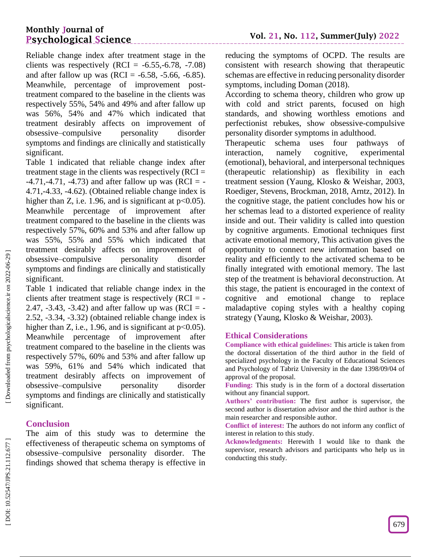Reliable change index after treatment stage in the clients was respectively  $(RCI = -6.55, -6.78, -7.08)$ and after fallow up was  $(RCI = -6.58, -5.66, -6.85)$ . Meanwhile, percentage of improvement post treatment compared to the baseline in the clients was respectively 55%, 54% and 49% and after fallow up was 56%, 54% and 47% which indicated that treatment desirably affects on improvement of obsessive –compulsive personality disorder symptoms and findings are clinically and statistically significant.

Table 1 indicated that reliable change index after treatment stage in the clients was respectively (RCI =  $-4.71, -4.71, -4.73$ ) and after fallow up was (RCI = -4.71, -4.33, -4.62). (Obtained reliable change index is higher than Z, i.e. 1.96, and is significant at  $p<0.05$ ). Meanwhile percentage of improvement after treatment compared to the baseline in the clients was respectively 57%, 60% and 53% and after fallow up was 55%, 55% and 55% which indicated that treatment desirably affects on improvement of obsessive –compulsive personality disorder symptoms and findings are clinically and statistically significant.

Table 1 indicated that reliable change index in the clients after treatment stage is respectively  $(RCI = -$ 2.47,  $-3.43$ ,  $-3.42$ ) and after fallow up was (RCI =  $-$ 2.52, -3.34, -3.32) (obtained reliable change index is higher than Z, i.e., 1.96, and is significant at  $p<0.05$ ). Meanwhile percentage of improvement after treatment compared to the baseline in the clients was respectively 57%, 60% and 53% and after fallow up was 59%, 61% and 54% which indicated that treatment desirably affects on improvement of obsessive –compulsive personality disorder symptoms and findings are clinically and statistically significant.

## **Conclusion**

The aim of this study was to determine the effectiveness of therapeutic schema on symptoms of obsessive –compulsive personality disorder. The findings showed that schema therapy is effective in

reducing the symptoms of OCPD. The results are consistent with research showing that therapeutic schemas are effective in reducing personality disorder symptoms, including Doman (2018).

According to schema theory, children who grow up with cold and strict parents, focused on high standards, and showing worthless emotions and perfectionist rebukes, show obsessive -compulsive personality disorder symptoms in adulthood.

Therapeutic schema uses four pathways of<br>interaction. namely cognitive, experimental namely cognitive, experimental (emotional), behavioral, and interpersonal techniques (therapeutic relationship) as flexibility in each treatment session (Yaung, Klosko & Weishar, 2003, Roediger, Stevens, Brockman, 2018, Arntz, 2012). In the cognitive stage, the patient concludes how his or her schemas lead to a distorted experience of reality inside and out. Their validity is called into question by cognitive arguments. Emotional techniques first activate emotional memory, This activation gives the opportunity to connect new information based on reality and efficiently to the activated schema to be finally integrated with emotional memory. The last step of the treatment is behavioral deconstruction. At this stage, the patient is encouraged in the context of cognitive and emotional change to replace maladaptive coping styles with a healthy coping strategy (Yaung, Klosko & Weishar, 2003).

### **Ethical Considerations**

**Compliance with ethical guidelines:** This article is taken from the doctoral dissertation of the third author in the field of specialized psychology in the Faculty of Educational Sciences and Psychology of Tabriz University in the date 1398/09/04 of approval of the proposal.

**Funding:** This study is in the form of a doctoral dissertation without any financial support.

**Authors' contribution:** The first author is supervisor, the second author is dissertation advisor and the third author is the main researcher and responsible author.

**Conflict of interest:** The authors do not inform any conflict of interest in relation to this study.

**Acknowledgments:** Herewith I would like to thank the supervisor, research advisors and participants who help us in conducting this study.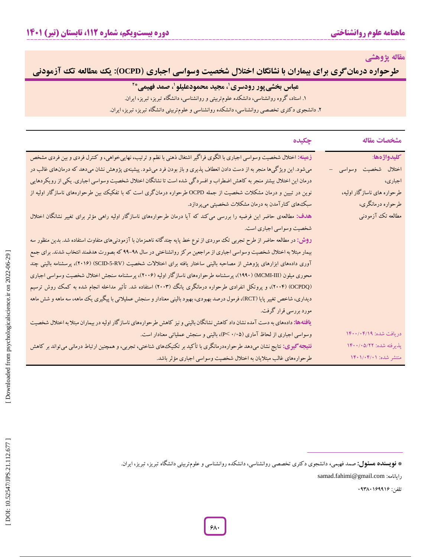**مقاله پژوهشی**

**OCPD): یک مطالعه تک آزمودنی طرحواره درمانگری برای بیماران با نشانگان اختالل شخصیت وسواسی اجباری )**

# **عباس بخشیپور رودسری ، مجید محمودعلیلو <sup>1</sup> 2 ، صمد فهیمی\* 1**

. استاد، گروه روانشناسی، دانشکده علومتربیتی و روانشناسی، دانشگاه تبریز، تبریز، ایران. 1

. دانشجوی دکتری تخصصی روانشناسی، دانشکده روانشناسی و علومتربیتی دانشگاه تبریز، تبریز، ایران. 2

| جكيده                                                                                                                                  | مشخصات مقاله                                    |
|----------------------------------------------------------------------------------------------------------------------------------------|-------------------------------------------------|
| زمینه: اختلال شخصیت وسواسی اجباری با الگوی فراگیر اشتغال ذهنی با نظم و ترتیب، نهاییخواهی، و کنترل فردی و بین فردی مشخص                 | كليدواژهها:                                     |
| میشود. این ویژگیها منجر به از دست دادن انعطاف پذیری و باز بودن فرد میشود. پیشینهی پژوهش نشان میدهد که درمانهای غالب در                 | اختلال شخصیت وسواسی<br>$\overline{\phantom{0}}$ |
| درمان این اختلال بیشتر منجر به کاهش اضطراب و افسردگی شده است تا نشانگان اختلال شخصیت وسواسی اجباری. یکی از رویکردهایی                  | اجباري،                                         |
| نوین در تبیین و درمان مشکلات شخصیت از جمله OCPD طرحواره درمانگری است که با تفکیک بین طرحوارههای ناسازگار اولیه از                      | طرحواره های ناسازگار اولیه،                     |
| سبک های کنارآمدن به درمان مشکلات شخصیتی میپردازد.                                                                                      | طرحواره درمانگري،                               |
| هدف: مطالعهی حاضر این فرضیه را بررسی می کند که آیا درمان طرحوارههای ناسازگار اولیه راهی مؤثر برای تغییر نشانگان اختلال                 | مطالعه تک آزمودنی                               |
| شخصیت وسواسی اجباری است.                                                                                                               |                                                 |
| <b>روش: د</b> ر مطالعه حاضر از طرح تجربی تک موردی از نوع خط پایه چندگانه ناهمزمان با آزمودنیهای متفاوت استفاده شد. بدین منظور سه       |                                                 |
| بیمار مبتلا به اختلال شخصیت وسواسی اجباری از مراجعین مرکز روانشناختی در سال ۹۸-۹۹ که بصورت هدفمند انتخاب شدند. برای جمع                |                                                 |
| آوری دادههای ابزارهای پژوهش از مصاحبه بالینی ساختار یافته برای اختلالات شخصیت (SCID-5-RV) SCID)، پرسشنامه بالینی چند                   |                                                 |
| محوری میلون (MCMI-III) (۱۹۹۰)، پرسشنامه طرحوارههای ناسازگار اولیه (۲۰۰۶)، پرسشنامه سنجش اختلال شخصیت وسواسی اجباری                     |                                                 |
| (OCPDQ) (۲۰۰۴)، و پروتکل انفرادی طرحواره درمانگری یانگ (۲۰۰۳) استفاده شد. تأثیر مداخله انجام شده به کمک روش ترسیم                      |                                                 |
| دیداری، شاخص تغییر پایا (RCT)، فرمول درصد بهبودی، بهبود بالینی معنادار و سنجش عملیلاتی با پیگیری یک ماهه، سه ماهه و شش ماهه            |                                                 |
| مورد بررسی قرار گرفت.                                                                                                                  |                                                 |
| <b>یافتهها:</b> دادههای به دست آمده نشان داد کاهش نشانگان بالینی و نیز کاهش طرحوارههای ناسازگار اولیه در بیماران مبتلا به اختلال شخصیت |                                                 |
| وسواسی اجباری از لحاظ آماری (۰/۰۵ >P)، بالینی و سنجش عملیاتی معنادار است.                                                              | دريافت شده: ١۴٠٠/٠۴/١٩                          |
| <b>نتیجه کیری:</b> نتایج نشان میدهد طرحوارهدرمانگری با تأکید بر تکنیکهای شناختی، تجربی، و همچنین ارتباط درمانی میتواند بر کاهش         | پذیرفته شده: ۱۴۰۰/۰۵/۲۲                         |
| طرحوارههای غالب مبتلایان به اختلال شخصیت وسواسی اجباری مؤثر باشد.                                                                      | منتشر شده: ۱۴۰۱/۰۴/۰۱                           |

نتر شده: <sub>(۱۳</sub>۰۱/۰۲/۱۰۱<br>نقر شده: ۱۳۰۱/۰۲/۰۱<br>**نویسنده هسئول:** صمد فهیمی، دانشجوی دکتری تخصصی روانشناسی، دانشکده روانشناسی و علومتربیتی دانشگاه تبریز، تبریز، ایران.<br>**نویسنده هسئول:** صمد فهیمی، دانشجوی دکتری تخصصی روانشناسی، **\* فویسنده هسئول:** صمد فهیمی، دانشجوی دکتری تخصصی روانشناسی، دانشکده روانشناسی و علومتربیتی دانشگاه تبریز، تبریز، ایران.

samad.fahimi@gmail.com :رایانامه

تلفن: 69286109910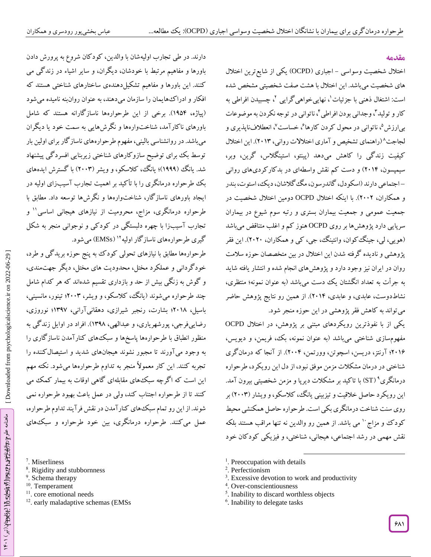#### **مقدمه**

اختلال شخصیت وسواسی – اجباری (OCPD) یکی از شایع ترین اختلال های شخصیت میباشد. این اختالل با هشت صفت شخصیتی مشخص شده است: اشتغال ذهنی با جزئیات `، نهاییخواهیگرایی `، چسبیدن افراطی به کار و تولید "، وجدانی بودن افراطی "، ناتوانی در توجه نکردن به موضوعات بی|رزش<sup>۵</sup>، ناتوانی در محول کردن کارها<sup>ع</sup>، خساست<sup>۷</sup>، انعطلافناپذیری و لجاجت 8 )راهنمای تشخیص و آماری اختالالت روانی، 2612(. این اختالل کیفیت زندگی را کاهش میدهد )پینتو، استینگالس، گرین، وبر، سیمپسون، 2614( و دست کم نقش واسطهای در بدکارکردیهای روانی – اجتماعی دارند (اسکودل، گاندرسون، مگ گلاشان، دیک، استوت، بندر و همکاران، 2662(. با اینکه اختالل OCPD دومین اختالل شخصیت در جمعیت عمومی و جمعیت بیماران بستری و رتبه سوم شیوع در بیماران سرپایی دارد پژوهشها بر روی OCPD هنوز کم و اغلب متناقض میباشد )هویی، لی، جینگکوان، وانتینگ، جی، کی و همکاران، 2626(. این فقر پژوهشی و نادیده گرفته شدن این اختالل در بین متخصصان حوزه سالمت روان در ایران نیز وجود دارد و پژوهشهای انجام شده و انتشار یافته شاید به جرأت به تعداد انگشتان یک دست میباشد )به عنوان نمونه؛ منتظری، نشاطدوست، عابدی، و عابدی، 2614(. از همین رو نتایج پژوهش حاضر میتواند به کاهش فقر پژوهشی در این حوزه منجر شود.

یکی از با نفوذترین رویکردهای مبتنی بر پژوهش، در اختالل OCPD مفهومسازی شناختی میباشد )به عنوان نمونه، بک، فریمن، و دیویس، 2610؛ آرنتز، دریسن، اسچوتن، وورتمن، 2664(. از آنجا که درمانگری شناختی در درمان مشکالت مزمن موفق نبود، از دل این رویکرد، طرحواره درمانگری<sup>۹</sup> (ST) با تاکید بر مشکلات دیرپا و مزمن شخصیتی بیرون آمد. این رویکرد حاصل خالقیت و تیزبینی یانگ، کالسکو، و ویشار )2662( بر روی سنت شناخت درمانگری بکی است. طرحواره حاصل همکنشی محیط کودک و مزاج `` می باشد. از همین رو والدین نه تنها مراقب هستند بلکه نقش مهمی در رشد اجتماعی، هیجانی، شناختی، و فیزیکی کودکان خود

<sup>1</sup>. Preoccupation with details

<sup>3</sup>. Excessive devotion to work and productivity

l

- 4 . Over -conscientiousness
- <sup>5</sup>. Inability to discard worthless objects
- <sup>6</sup>. Inability to delegate tasks

دارند. در طی تجارب اولیهشان با والدین، کودکان شروع به پرورش دادن باورها و مفاهیم مرتبط با خودشان، دیگران، و سایر اشیاء در زندگی می کنند. این باورها و مفاهیم تشکیلدهندهی ساختارهای شناختی هستند که افکار و ادراکهایمان را سازمان میدهند، به عنوان روانبنه نامیده میشود )پیاژه، 1954(. برخی از این طرحوارهها ناسازگارانه هستند که شامل باورهای ناکارآمد، شناختوارهها و نگرشهایی به سمت خود یا دیگران میباشد. در روانشناسی بالینی، مفهوم طرحوارههای ناسازگار برای اولین بار توسط بک برای توضیح سازوکارهای شناختی زیربنایی افسردگی پیشنهاد شد. یانگ (۱۹۹۹)؛ یانگ، کلاسکو، و ویشر (۲۰۰۳) با گسترش ایدههای بک طرحواره درمانگری را با تأکید بر اهمیت تجارب آسیبزای اولیه در ایجاد باورهای ناسازگار، شناختوارهها و نگرشها توسعه داد. مطابق با طرحواره درمانگری، مزاج، محرومیت از نیازهای هیجانی اساسی'' و تجارب آسیبزا با چهره دلبستگی در کودکی و نوجوانی منجر به شکل گیری طرحوارههای ناسازگار اولیه<sup>۱۲</sup> (EMSs) میشود.

طرحوارهها مطابق با نیازهای تحولی کودک به پنج حوزه بریدکی و طرد، خود کردانی و عملکرد مختل، محدودیت های مختل، دیگر جهتمندی، و کوش به زنگی بیش از حد و بازداری تقسیم شدهاند که هر کدام شامل چند طرحواره می شوند (یانگ، کلاسکو، و ویشر، ۲۰۰۳؛ تینور، مانسینی، باسیل، 2618؛ بشارت، رنجبر شیرازی، دهقانیآرانی، 1297؛ نوروزی، رضاییفرجی، پورشهریاری، و عبدالهی، ۱۳۹۸). افراد در اوایل زندگی به منظور انطباق با طرحوارهها پاسخها و سبکهای کنارآمدن ناسازگاری را به وجود میآورند تا مجبور نشوند هیجانهای شدید و استیصالکننده را تجربه کنند. این کار معموالً منجر به تداوم طرحوارهها میشود. نکته مهم این است که اگرچه سبکههای مقابلهای کاهی اوقات به بیمار کمک می کنند تا از طرحواره اجتناب کند، ولی در عمل باعث بهبود طرحواره نمی شوند. از این رو تمام سبکهای کنارآمدن در نقش فرآیند تداوم طرحواره، عمل می کنند. طرحواره درمانکری، بین خود طرحواره و سبک،های<br>7. Miserliness<br><sup>8</sup>. Rigidity and stubbornness <sup>8.</sup> Schema therapy<br><sup>9</sup>. Schema therapy

- 
- 
- 
- <sup>10</sup>. Temperament
	- <sup>11</sup>. core emotional needs
	- <sup>12</sup>. early maladaptive schemas (EMSs

<sup>2</sup> . Perfectionism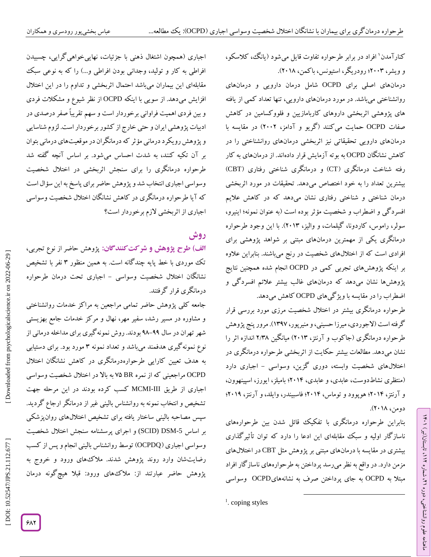کنارآمدن` افراد در برابر طرحواره تفاوت قایل میشود (یانگ، کلاسکو، و ویشر، 2662؛ رودریگر، استیونس، باکمن، 2618(.

درمانهای اصلی برای OCPD شامل درمان دارویی و درمانهای روانشناختی میباشد. در مورد درمانهای دارویی، تنها تعداد کمی از یافته های پژوهشی اثربخشی داروهای کاربامازیین و فلووکسامین در کاهش صفات OCPD حمایت میکنند )گریو و آدامز، 2662( در مقایسه با درمانهای دارویی تحقیقاتی نیز اثربخشی درمانهای روانشناختی را در کاهش نشانگان OCPD به بوته آزمایش قرار دادهاند. از درمانهای به کار رفته شناخت درمانگری (CT) و درمانگری شناختی رفتاری (CBT) بیشترین تعداد را به خود اختصاص میدهد. تحقیقات در مورد اثربخشی درمان شناختی و شناختی رفتاری نشان میدهد که در کاهش عالیم افسردگی و اضطراب و شخصیت مؤثر بوده است )به عنوان نمونه؛ اینیرو، سولر، راموس، کاردونا، گیلمات، و والیز، 2612(. با این وجود طرحواره درمانگری یکی از مهمترین درمانهای مبتنی بر شواهد پژوهشی برای افرادی است که از اختاللهای شخصیت در رنج میباشند. بنابراین عالوه بر اینکه پژوهشهای تجربی کمی در OCPD انجام شده همچنین نتایج پژوهشها نشان میدهد که درمانهای غالب بیشتر عالئم افسردگی و اضطراب را در مقایسه با ویژگیهای OCPD کاهش میدهد.

طرحواره درمانگری بیشتر در اختالل شخصیت مرزی مورد بررسی قرار گرفته است (لاجوردی، میرزا حسینی، و منیرپور، ۱۳۹۷). مرور پنج پژوهش طرحواره درمانگری (جاکوب و آرنتز، ۲۰۱۳) میانگین ۲/۳۸ اندازه اثر را نشان میدهد. مطالعات بیشتر حکایت از اثربخشی طرحواره درمانگری در اختلالهای شخصیت وابسته، دوری گزین، وسواسی – اجباری دارد )منتظری نشاطدوست، عابدی، و عابدی، 2614؛ بامیلز، ایورز، اسپینهوون، و آرنتز، 2614؛ هوپوود و توماس، 2614؛ فاسبیندر، وایلد، و آرنتز، 2619؛ دومن، 2618(.

بنابراین طرحواره درمانگری با تفکیک قائل شدن بین طرحوارههای ناسازگار اولیه و سبک مقابلهای این ادعا را دارد که توان تأثیرگذاری بیشتری در مقایسه با درمانهای مبتنی بر پژوهش مثل CBT در اختاللهای مزمن دارد. در واقع به نظر میرسد پرداختن به طرحوارههای ناسازگار افراد مبتال به OCPD به جای پرداختن صرف به نشانههایOCPD وسواسی

 $\overline{\phantom{a}}$ 

ラン

، تابستان)تیر( 112

، شماره 21

ماهنامه علوم روانشناختی، دوره

اجباری (همچون اشتغال ذهنی با جزئیات، نهاییخواهیگرایی، چسبیدن افراطی به کار و تولید، وجدانی بودن افراطی و...) را که به نوعی سبک مقابلهای این بیماران میباشد احتمال اثربخشی و تداوم را در این اختالل افزایش میدهد. از سویی با اینکه OCPD از نظر شیوع و مشکالت فردی و بین فردی اهمیت فراوانی برخوردار است و سهم تقریباً صفر درصدی در ادبیات پژوهشی ایران و حتی خارج از کشور برخوردار است. لزوم شناسایی و پژوهشرویکرد درمانی مؤثر که درمانگران در موقعیتهای درمانی بتوان بر آن تکیه کنند، به شدت احساس میشود. بر اساس آنچه گفته شد طرحواره درمانگری را برای سنجش اثربخشی در اختالل شخصیت وسواسی اجباری انتخاب شد و پژوهش حاضر برای پاسخ به این سؤال است که آیا طرحواره درمانگری در کاهش نشانگان اختالل شخصیت وسواسی اجباری از اثربخشی الزم برخوردار است؟

# **روش**

ا**لف) طرح پژوهش و شرکت کنندگان:** پژوهش حاضر از نوع تجربی، تک موردی با خط پایه چند کانه است. به همین منظور ۳ نفر با تشخیص نشانگان اختلال شخصیت وسواسی – اجباری تحت درمان طرحواره درمانگری قرار گرفتند.

جامعه کلی پژوهش حاضر تمامی مراجعین به مراکز خدمات روانشناختی و مشاوره در مسیر رشد، سفیر مهر، نهال و مرکز خدمات جامع بهزیستی شهر تهران در سال ۹۹–۹۸ بودند. روش نمونه کیری برای مداخله درمانی از نوع نمونه کیری هدفمند میباشد و تعداد نمونه ۳ مورد بود. برای دستیابی به هدف تعیین کارایی طرحوارهدرمانگری در کاهش نشانگان اختالل OCPD مراجعینی که از نمره BR 75 به باال در اختالل شخصیت وسواسی MCMI کسب کرده بودند در این مرحله جهت اجباری از طریق III- تشخیص و انتخاب نمونه به روانشناس بالینی غیر از درمانگر ارجاع گردید. سپس مصاحبه بالینی ساختار یافته برای تشخیص اختاللهای روانپزشکی بر اساس SCID) DSM-5) و اجرای پرسشنامه سنجش اختلال شخصیت وسواسی اجباری )OCPDQ )توسط روانشناس بالینی انجام و پس از کسب رضایتشان وارد روند پژوهش شدند. مالکهای ورود و خروج به پژوهش حاضر عبارتند از: مالکهای ورود: قبال هیچگونه درمان

 $<sup>1</sup>$ . coping styles</sup>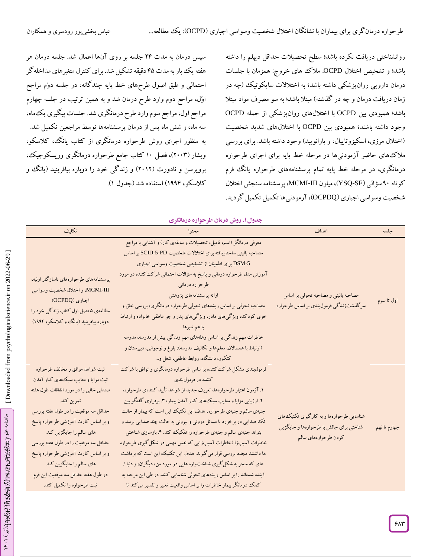سپس درمان به مدت 24 جلسه بر روی آنها اعمال شد. جلسه درمان هر هفته یک بار به مدت ۴۵ دقیقه تشکیل شد. برای کنترل متغیرهای مداخلهگر احتمالی و طبق اصول طرحهای خط پایه چندگانه، در جلسه دوّم مراجع اوّل، مراجع دوم وارد طرح درمان شد و به همین ترتیب در جلسه چهارم مراجع اول، مراجع سوم وارد طرح درمانگری شد. جلسات پیگیری یکماه، سه ماه، و شش ماه پس از درمان پرسشنامهها توسط مراجعین تکمیل شد. به منظور اجرای روش طرحواره درمانگری از کتاب یانگ، کالسکو، ویشار )2662(، فصل 16 کتاب جامع طرحواره درمانگری وریسکوجیک، برویرسن و نادورت )2612( و زندگی خود را دوباره بیافرینید )یانگ و .) کالسکو، 1994( استفاده شد )جدول 1

روانشناختی دریافت نکرده باشد؛ سطح تحصیالت حداقل دیپلم را داشته باشد؛ و تشخیص اختالل OCPD. مالک های خروج: همزمان با جلسات درمان دارویی روانپزشکی داشته باشد؛ به اختالالت سایکوتیک )چه در زمان دریافت درمان و چه در گذشته) مبتلا باشد؛ به سو مصرف مواد مبتلا باشد؛ همبودی بین OCPD با اختاللهای روانپزشکی از جمله OCPD وجود داشته باشند؛ همبودی بین OCPD با اختاللهای شدید شخصیت (اختلال مرزی، اسکیزوتایپال، و پارانویید) وجود داشته باشد. برای بررسی مالکهای حاضر آزمودنیها در مرحله خط پایه برای اجرای طرحواره درمانگری، در مرحله خط پایه تمام پرسشنامههای طرحواره یانگ فرم کوتاه ۹۰ سؤالی (YSQ-SF)، میلون MCMI-III، پرسشنامه سنجش اختلال شخصیت وسواسی اجباری )OCPDQ)، آزمودنیها تکمیل تکمیل گردید.

|                                                   | جناول ۰. روس تارنتان طو خواره تارنتگوی                                 |                                         |              |
|---------------------------------------------------|------------------------------------------------------------------------|-----------------------------------------|--------------|
| تكليف                                             |                                                                        | اهداف                                   | جلسه         |
|                                                   | معرفی درمانگر (اسم، فامیل، تحصیلات و سابقهی کار) و آشنایی با مراجع     |                                         |              |
|                                                   | مصاحبه بالینی ساختاریافته برای اختلالات شخصیت SCID-5-PD بر اساس        |                                         |              |
|                                                   | DSM-5 برای اطمینان از تشخیص شخصیت وسواسی اجباری                        |                                         |              |
| پرسشنامههای طرحوارههای ناسازگار اولیه،            | آموزش مدل طرحواره درمانی و پاسخ به سؤالات احتمالی شرکت کننده در مورد   |                                         |              |
|                                                   | طرحواره درماني                                                         |                                         |              |
| MCMI-III، و اختلال شخصیت وسواسی<br>اجباري (OCPDQ) | ارائه پرسشنامههای پژوهش                                                | مصاحبه بالینی و مصاحبه تحولی بر اساس    |              |
| مطالعهی ۵ فصل اول کتاب زندگی خود را               | مصاحبه تحولی بر اساس ریشههای تحولی طرحواره درمانگری، بررسی خلق و       | سرگذشتزندگی فرمول بندی بر اساس طرحواره  | اول تا سوم   |
|                                                   | خوی کودک، ویژگیهای مادر، ویژگیهای پدر و جو عاطفی خانواده و ارتباط      |                                         |              |
| دوباره بیافرینید (یانگ و کلاسکو، ۱۹۹۴)            | با هم شيرها                                                            |                                         |              |
|                                                   | خاطرات مهم زندگی بر اساس وهلههای مهم زندگی پیش از مدرسه، مدرسه         |                                         |              |
|                                                   | (ارتباط با همسالان، معلمها و تكاليف مدرسه)، بلوغ و نوجواني، دبيرستان و |                                         |              |
|                                                   | کنکور، دانشگاه، روابط عاطفی، شغل و…                                    |                                         |              |
| ثبت شواهد موافق و مخالف طرحواره                   | فرمول بندی مشکل شرکت کننده براساس طرحواره درمانگری و توافق با شرکت     |                                         |              |
| ثبت مزایا و معایب سبک های کنار آمدن               | کننده در فرمولبندی                                                     |                                         |              |
| صندلی خالی را در مورد اتفاقات طول هفته            | ١. آزمون اعتبار طرحوارهها، تعريف جديد از شواهد تأييد كنندهى طرحواره،   |                                         |              |
| تمرين كند.                                        | ۲. ارزیابی مزایا و معایب سبک۱های کنار آمدن بیمار، ۳. برقراری گفتگو بین |                                         |              |
| حداقل سه موقعیت را در طول هفته بررسی              | جنبهی سالم و جنبهی طرحواره، هدف این تکنیک این است که بیمار از حالت     |                                         |              |
| و بر اساس کارت آموزشی طرحواره پاسخ                | تک صدایی در برخورد با مسائل درونی و بیرونی به حالت چند صدایی برسد و    | شناسایی طرحوارهها و به کارگیری تکنیکهای |              |
| هاي سالم را جايگزين كند.                          | بتواند جنبهی سالم و جنبهی طرحواره را تفکیک کند. ۴. بازسازی شناختی      | شناختی برای چالش با طرحوارهها و جایگزین | چهارم تا نهم |
| حداقل سه موقعیت را در طول هفته بررسی              | خاطرات آسیبزا (خاطرات آسیبزایی که نقش مهمی در شکل گیری طرحواره         | كردن طرحوارههاي سالم                    |              |
| و بر اساس کارت آموزشی طرحواره پاسخ                | ها داشتند مجدد بررسی قرار می گیرند. هدف این تکنیک این است که برداشت    |                                         |              |
| هاي سالم را جايگزين كند.                          | های که منجر به شکل گیری شناختواره هایی در مورد من، دیگران، و دنیا /    |                                         |              |
| در طول هفته حداقل سه موقعیت این فرم               | آینده شدهاند را بر اساس ریشههای تحولی شناسایی کنند. در طی این مرحله به |                                         |              |
| ثبت طرحواره را تکمیل کند.                         | کمک درمانگر بیمار خاطرات را بر اساس واقعیت تعبیر و تفسیر می کند تا     |                                         |              |

#### **. روش درمان طرحواره درمانگری جدول1**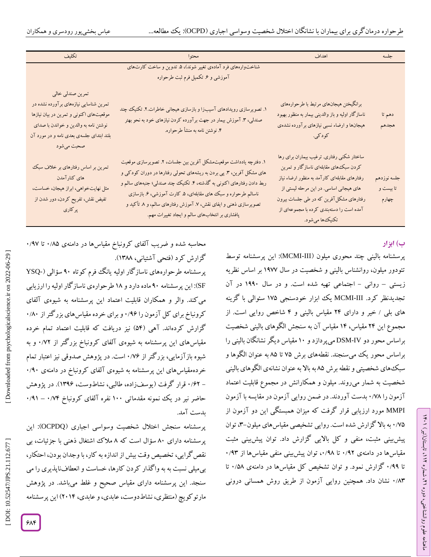| تكليف                                                                                                                                                                                                    | محتوا                                                                                                                                                                                                                                                                                                                                                                                                    | اهداف                                                                                                                                                                                                                                                                                     | جلسه                              |
|----------------------------------------------------------------------------------------------------------------------------------------------------------------------------------------------------------|----------------------------------------------------------------------------------------------------------------------------------------------------------------------------------------------------------------------------------------------------------------------------------------------------------------------------------------------------------------------------------------------------------|-------------------------------------------------------------------------------------------------------------------------------------------------------------------------------------------------------------------------------------------------------------------------------------------|-----------------------------------|
|                                                                                                                                                                                                          | شناختوارههای فرد آمادهی تغییر شوند)، ۵. تدوین و ساخت کارتهای<br>آموزشی و ۶. تکمیل فرم ثبت طرحواره                                                                                                                                                                                                                                                                                                        |                                                                                                                                                                                                                                                                                           |                                   |
| تمرین صندلی خالی<br>تمرین شناسایی نیازههای برآورده نشده در<br>موقعیتهای اکنونی و تمرین در بیان نیازها<br>نوشتن نامه به والدين و خواندن با صداى<br>بلند ابتدای جلسهی بعدی نامه و در مورد آن<br>صحبت میشود | ۱. تصویرسازی رویدادهای آسیبزا و بازسازی هیجانی خاطرات.۲. تکنیک چند<br>صندلی، ۳. آموزش بیمار در جهت برآورده کردن نیازهای خود به نحو بهتر<br>۴. نوشتن نامه به منشأ طرحواره.                                                                                                                                                                                                                                | برانگیختن هیجانهای مرتبط با طرحوارههای<br>ناسازگار اولیه و باز والدینی بیمار به منظور بهبود<br>هیجانها و ارضاء نسبی نیازهای برآورده نشدهی<br>کو د کی.                                                                                                                                     | دهم تا<br>هجدهم                   |
| تمرین بر اساس رفتارهای بر خلاف سبک<br>های کنارآمدن<br>مثل نهایتخواهی، ابراز هیجان، خساست،<br>تفیض نقش، تفریح کردن، دور شدن از<br>پر کاري                                                                 | ۱. دفترچه یادداشت موقعیت.شکل آفرین بین جلسات، ۲. تصویرسازی موقعیت<br>های مشکل آفرین، ۳. پی بردن به ریشههای تحولی رفتارها در دوران کودکی و<br>ربط دادن رفتارهای اکنونی به گذشته، ۴. تکنیک چند صندلی؛ جنبههای سالم و<br>ناسالم طرحواره و سبک های مقابلهای، ۵. کارت آموزشی، ۶. بازسازی<br>تصویرسازی ذهنی و ایفای نقش، ۷. آموزش رفتارهای سالم، و ۸ تأکید و<br>پافشاری بر انتخابهای سالم و ایجاد تغییرات مهم. | ساختار شکنی رفتاری. ترغیب بیماران برای رها<br>کردن سبک های مقابلهای ناسازگار و تمرین<br>رفتارهای مقابلهای کارآمد به منظور ارضاء نیاز<br>های هیجانی اساسی. در این مرحله لیستی از<br>رفتارهای مشکل آفرین که در طی جلسات بیرون<br>آمده است را دستهبندی کرده با مجموعهای از<br>تکنیکها میشود. | جلسه نوزدهم<br>تا بیست و<br>چهارم |

# **ب( ابزار**

ラン

، تابستان)تیر( 112

، شماره 21

ماهنامه علوم روانشناختی، دوره

پرسشنامه بالینی چند محوری میلون (MCMI-III): این پرسشنامه توسط تئودور میلون، روانشناس بالینی و شخصیت در سال 1977 بر اساس نظریه زیستی – روانی – اجتماعی تهیه شده است. و در سال ۱۹۹۰ در آن تجدیدنظر کرد. MCMI-III یک ابزار خودسنجی ۱۷۵ سئوالی با گزینه های بلی / خیر و دارای ۲۴ مقیاس بالینی و ۴ شاخص روایی است. از مجموع این 24 مقیاس، 14 مقیاس آن به سنجش الگوهای بالینی شخصیت براساس محور دو DSM-IV میپردازد و ۱۰ مقیاس دیگر نشانگان بالینی را براساس محور یک میسنجند. نقطههای برش 75 تا 85 به عنوان الگوها و سبکهای شخصیتی و نقطه برش 85 به باال به عنوان نشانهی الگوهای بالینی شخصیت به شمار میروند. میلون و همکارانش در مجموع قابلیت اعتماد آزمون را ۰/۷۸ بدست آوردند. در ضمن روایی آزمون در مقایسه با آزمون MMPI مورد ارزیابی قرار گرفت که میزان همبستگی این دو آزمون از ۰/۷۵ به بالا گزارش شده است. روایی تشخیصی مقیاس های میلون–۴ توان پیش بینی مثبت، منفی و کل بالایی گزارش داد. توان پیش بینی مثبت<br>مقیاسها در دامنهی ۰/۹۲ تا ۰/۹۸ توان پیش بینی منفی مقیاسها از ۰/۹۳ تا ۰/۹۹ کزارش نمود. و توان تشخیص کل مقیاسها در دامنهی ۰/۵۸ تا نشان داد. همچنین روایی آزمون از طریق روش همسانی درونی 6 /82

محاسبه شده و ضریب آلفای کرونباخ مقیاسها در دامنهی ۰/۹۵ تا ۰/۹۷<br>گزارش کرد (فتحی آشتیانی، ۱۳۸۸).

پرسشنامه طرحوارههای ناسازگار اولیه یانگ فرم کوتاه ۹۰ سؤالی (-YSQ SF): این پرسشنامه 96 ماده دارد و 18 طرحوارهی ناسازگار اولیه را ارزیابی می کند. والر و همکاران قابلیت اعتماد این پرسشنامه به شیوهی آلفای<br>کرونباخ برای کل آزمون را ۱٬۹۶ و برای خرده مقیاسهای بزرگتر از ۱٬۸۰ گزارش کردهاند. آهی (۵۴) نیز دریافت که قابلیت اعتماد تمام خرده مقیاسهای این پرسشنامه به شیوهی آلفای کرونباخ بزرگتر از ۰/۷۲ و به شیوه بازآزمایی، بزر کتر از ۰/۷۶ است. در پژوهش صدوقی نیز اعتبار تمام 6 /96 خردهمقیاسهای این پرسشنامه به شیوهی آلفای کرونباخ در دامنهی – ۰/۶۲ قرار کرفت (یوسفزاده، طالبی، نشاطوست، ۱۳۹۶). در پژوهش حاضر نیر در یک نمونه مقدماتی ۱۰۰ نفره آلفای کرونباخ ۰/۷۴ – ۰/۹۱ بدست آمد.

پرسشنامه سنجش اختالل شخصیت وسواسی اجباری )OCPDQ): این پرسشنامه دارای ۸۰ سؤال است که ۸ ملاک اشتغال ذهنی با جزئیات، بی نقصگرایی، تخصیص وقت بیش از اندازه به کار، با وجدان بودن، احتکار، بیمیلی نسبت به به واگذار کردن کارها، خساست و انعطافناپذیری را می سنجد. این پرسشنامه دارای مقیاس صحیح و غلط میباشد. در پژوهش مارتوکویچ )منتظری، نشاطدوست، عابدی، و عابدی، 2614( این پرسشنامه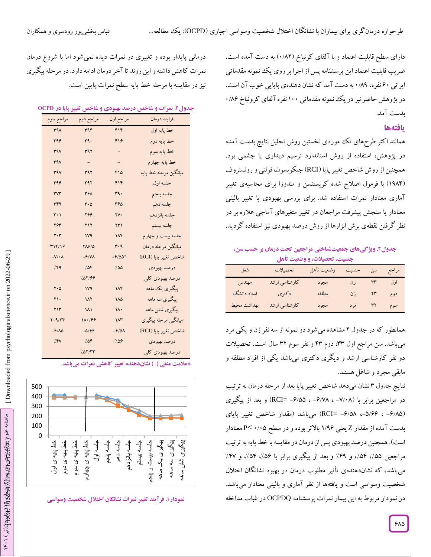دارای سطح قابلیت اعتماد و با آلفای کرنباخ (۰/۸۲) به دست آمده است. ضریب قابلیت اعتماد این پرسشنامه پس از اجرا بر روی یک نمونه مقدماتی ایرانی ۶۰ نفره، ۰/۸۹ به دست آمد که نشان دهندهی پایایی خوب آن است. در پژوهش حاضر نیر در یک نمونه مقدماتی ۱۰۰ نفره آلفای کرونباخ ۱۸۶ بدست آمد.

### **یافتهها**

همانند اکثر طرحهای تک موردی نخستین روش تحلیل نتایج بدست آمده<br>در پژوهش، استفاده از روش استاندارد ترسیم دیداری یا چشمی بود. همچنین ازروش شاخص تغییر پایا )RCI )جیکوبسون، فولتی و رونستروف (۱۹۸۴) با فرمول اصلاح شده کریستنسن و مندوزا برای محاسبهی تغییر آماری معنادار نمرات استفاده شد. برای بررسی بهبودی یا تغییر بالینی معنادار یا سنجش پیشرفت مراجعان در تغییر متغیرهای آماجی علاوه بر در نظر گرفتن نقطهی برش ابزارها از روش درصد بهبودی نیز استفاده گردید.

**شناختی مراجعین تحت درمان بر حسب سن، های جمعیت یژگی . و جدول2 تحصیالت، و وضعیت تأهل جنسیت،**

| شغل           | تحصيلات       | مراجع سن جنسيت وضعيت تأهل |            |  |
|---------------|---------------|---------------------------|------------|--|
| مهندس         | كارشناسي ارشد | مجرد                      | اول ٣٣ زن  |  |
| استاد دانشگاه | د کتری        | مطلقه                     | دوم ۴۳ زن  |  |
| بهداشت محيط   | کارشناسی ارشد | مجرد                      | سوم ۳۲ مرد |  |

همانطور که در جدول ۲ مشاهده میشود دو نمونه از سه نفر زن و یکی مرد میباشد. سن مراجع اول ،22 دوم 42 و نفر سوم 22 سال است. تحصیالت دو نفر کارشناسی ارشد و دیگری دکتری میباشد یکی از افراد مطلقه و مابقی مجرد و شاغل هستند.

نتایج جدول ۳ نشان میدهد شاخص تغییر پایا بعد از مرحله درمان به ترتیب در مراجعین برابر با (۷/۰۸– ، ۶/۷۸– ، RCI= –۶/۵۵) و بعد از پیگیری (۰٫۵۸۵– ، ۵/۶۴– RCI= -۶/۵۸) میباشد (مقدار شاخص تغییر پایای بدست آمده از مقدار Z یعنی ۱/۹۶ بالاتر بوده و در سطح ۲٬۰۵–P< معنادار است). همچنین درصد بهبودی پس از درمان در مقایسه با خط پایه به ترتیب<br>مراجعین ۵۵٪، ۵۴٪، و ۴۹٪ و بعد از پیگیری برابر با ۵۶٪، ۵۴٪، و ۴۷٪ میباشد، که نشاندهندهی تأثیر مطلوب درمان در بهبود نشانگان اختالل شخصیت وسواسی است و یافتهها از نظر آماری و بالینی معنادار میباشد. در نمودار مربوط به این بیمار نمرات پرسشنامه OCPDQ در غیاب مداخله

درمانی پایدار بوده و تغییری در نمرات دیده نمیشود اما با شروع درمان نمرات کاهش داشته و این روند تا آخر درمان ادامه دارد. در مرحله پیگیری نیز در مقایسه با مرحله خط پایه سطح نمرات پایین است.

#### **شاخص درصد بهبودی و شاخص تغییر پایا در OCPD . نمرات و جدول3**

| مراجع سوم                     | مراجع دوم                     | مراجع اول                | فرايند درمان          |
|-------------------------------|-------------------------------|--------------------------|-----------------------|
| <b>٣٩٨</b>                    | rr9F                          | ۴۱۴                      | خط پايه اول           |
| 499                           | ٣٩٠                           | ۴۱۶                      | خط پایه دوم           |
| r9V                           | ۳۹۲                           | $\overline{\phantom{0}}$ | خط پايه سوم           |
| ٣٩V                           | $\equiv$                      | $\overline{\phantom{0}}$ | خط پايه چهارم         |
| <b>٣٩٧</b>                    | ٣٩٢                           | ۴۱۵                      | ميانگين مرحله خط پايه |
| 499                           | ۳۹۲                           | ۴۱۴                      | جلسه اول              |
| ٣V٣                           | ٣۶۵                           | ٣٩.                      | جلسه پنجم             |
| <b>٣۴٩</b>                    | $\mathbf{r} \cdot \mathbf{r}$ | ۳۶۵                      | جلسه دهم              |
| ۳۰۱                           | 266                           | ٢٧.                      | جلسه پانزدهم          |
| ۲۶۳                           | ٢١٢                           | ۲۳۱                      | جلسه بيستم            |
| $\mathbf{y} \cdot \mathbf{r}$ | <b>IV9</b>                    | ۱۸۴                      | جلسه بیست و چهارم     |
| ۳۱۴/۱۶                        | <b>YA910</b>                  | ۳۰۹                      | میانگین مرحله درمان   |
| $-V/\cdot \Lambda$            | $-9/NA$                       | $-9/00$                  | شاخص تغيير پايا (RCI) |
| 7.59                          | 7.08                          | 7.00                     | درصد بهبودي           |
|                               | 1.07199                       |                          | درصد بهبودي كلي       |
| $\mathbf{Y} \cdot \mathbf{Q}$ | 1 <sup>V</sup>                | ۱۸۴                      | پیگیری یک ماهه        |
| ٢١.                           | 11                            | ١٨۵                      | پیگیری سه ماهه        |
| ۲۱۳                           | ۱۸۱                           | ۱۸۰                      | پیگیری شش ماهه        |
| Y.9/TT                        | 11.199                        | ۱۸۳                      | ميانگين مرحله پيگيري  |
| $-\frac{6}{10}$               | $-0.199$                      | -6108                    | شاخص تغيير پايا (RCI) |
| 7.5V                          | 7.08                          | 7.09                     | درصد بهبودي           |
|                               | 757/۳۳                        |                          | درصد بهبودي كلي       |

**( نشاندهنده تغییر کاهشی نمرات میباشد. \*عالمت منفی )-**



**نمرات نشانگان اختالل شخصیت وسواسی . فرآیند تغییر نمودار1**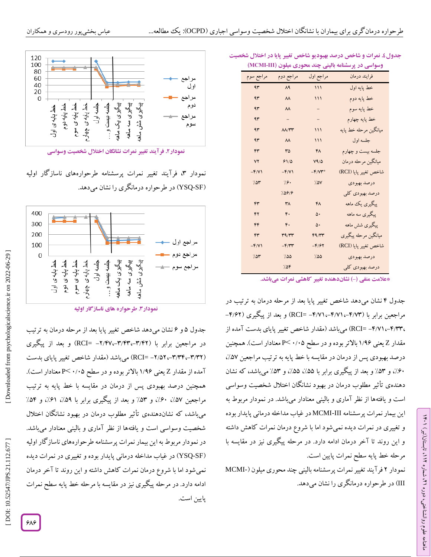| (MCMI                  |                                   |           | وسواسی در پرسشنامه بالینی چند محوری میلون |
|------------------------|-----------------------------------|-----------|-------------------------------------------|
| مراجع سوم              | مراجع دوم                         | مراجع اول | فرايند درمان                              |
| ۹۳                     | $\Lambda$ ٩                       | 111       | خط پايه اول                               |
| ۹۳                     | $\lambda\lambda$                  | 111       | خط پایه دوم                               |
| ۹۳                     | $\lambda\lambda$                  | -         | خط پايه سوم                               |
| ۹۳                     | -                                 | -         | خط پایه چهارم                             |
| ۹۳                     | $\Lambda\Lambda/\Upsilon\Upsilon$ | 111       | ميانگين مرحله خط پايه                     |
| ۹۳                     | $\lambda\lambda$                  | 111       | جلسه اول                                  |
| ۴٣                     | $r_0$                             | FA        | جلسه بیست و چهارم                         |
| ٧٢                     | 91/0                              | V9/6      | میانگین مرحله درمان                       |
| $-F/V$                 | $-F/Y$                            | $-F/yr^*$ | شاخص تغيير پايا (RCI)                     |
| 7.04                   | 7.9.                              | 7.0V      | درصد بهبودي                               |
|                        | 7.0919                            |           | درصد بهبودي كلي                           |
| ۴٣                     | ٣٨                                | FA        | پیگیری یک ماهه                            |
| ۴٢                     | ۴.                                | ۵۰        | پیگیری سه ماهه                            |
| ۴۴                     | ۴.                                | ۵۰        | پیگیری شش ماهه                            |
| $\mathsf{r}\mathsf{r}$ | T9/TT                             | F9/TT     | میانگین مرحله پیگیری                      |
| $-F/Y$                 | $-F/rr$                           | $-F/FT$   | شاخص تغيير پايا (RCI)                     |
| 7.04                   | 7.00                              | 7.00      | درصد بهبودي                               |
|                        | 7.08                              |           | درصد بهبودي كلي                           |

#### **شاخص درصد بهبودیو شاخص تغییر پایا در اختالل شخصیت نمرات و . جدول4 )MCMI وسواسی در پرسشنامه بالینی چند محوری میلون )III-**

**( نشاندهنده تغییر کاهشی نمرات میباشد. \*عالمت منفی )-**

جدول ۴ نشان میدهد شاخص تغییر پایا بعد از مرحله درمان به ترتیب در مراجعین برابر با (۴/۷۳–۱۴/۷۱۔–RCI) RCI) و بعد از پیگیری (۴/۶۲– ،۴/۳۳–RCI) (RCI= –۴/۷۱) میباشد (مقدار شاخص تغییر پایای بدست آمده از مقدار Z یعنی ۱/۹۶ بالاتر بوده و در سطح ۲۰/۰۵ × P معنادار است). همچنین ، درصد بهبودی پس از درمان در مقایسه با خط پایه به ترتیب مراجعین %57 ۶۰٪، و ۵۳٪ و بعد از پیگیری برابر با ۵۵٪، ۵۵٪، و ۵۳٪ میباشد، که نشان دهندهی تأثیر مطلوب درمان در بهبود نشانگان اختالل شخصیت وسواسی است و یافتهها از نظر آماری و بالینی معنادار میباشد. در نمودار مربوط به این بیمار نمرات پرسشنامه MCMI-III در غیاب مداخله درمانی پایدار بوده و تغییری در نمرات دیده نمیشود اما با شروع درمان نمرات کاهش داشته و این روند تا آخر درمان ادامه دارد. در مرحله پیگیری نیز در مقایسه با مرحله خط پایه سطح نمرات پایین است.

ラン

، تابستان)تیر( 112

، شماره 21

ماهنامه علوم روانشناختی، دوره

نمودار ۲ فرآیند تغییر نمرات پرسشنامه بالینی چند محوری میلون (-MCMI در طرحواره درمانگری را نشان میدهد. )III



**نمودار ۲. فر آیند تغییر نمرات نشانگان آختلال شخصیت وسواسی** 

نمودار ۳، فرآیند تغییر نمرات پرسشنامه طرحوارههای ناسازگار اولیه YSQ )در طرحواره درمانگری را نشان میدهد. -SF (



**طرحواره های ناسازگار اولیه . نمودار3**

جدول ۵ و ۶ نشان میدهد شاخص تغییر پایا بعد از مرحله درمان به ترتیب در مراجعین برابر با (۳/۴۲–۳/۴۲–۲/۴۷– RCI=) و بعد از پیگیری (۳/۳۲–۳/۵۲–۲/۵۲– RCI) میباشد (مقدار شاخص تغییر پایای بدست آمده از مقدار Z یعنی ۱/۹۶ بالاتر بوده و در سطح ۲۰/۰۵ >P معنادار است). همچنین درصد بهبودی پس از درمان در مقایسه با خط پایه به ترتیب<br>مراجعین ۵۷٪، ۶۰٪، و ۵۳٪ و بعد از ییگیری برابر با ۵۹٪، ۶۱٪، و ۵۴٪ میباشد، که نشاندهندهی تأثیر مطلوب درمان در بهبود نشانگان اختالل شخصیت وسواسی است و یافتهها از نظر آماری و بالینی معنادار میباشد. در نمودار مربوط به این بیمار نمرات پرسشنامه طرحوارههای ناسازگار اولیه YSQ )در غیاب مداخله درمانی پایدار بوده و تغییری در نمرات دیده -SF ( نمیشود اما با شروع درمان نمرات کاهش داشته و این روند تا آخر درمان ادامه دارد. در مرحله پیگیری نیز در مقایسه با مرحله خط پایه سطح نمرات پایین است.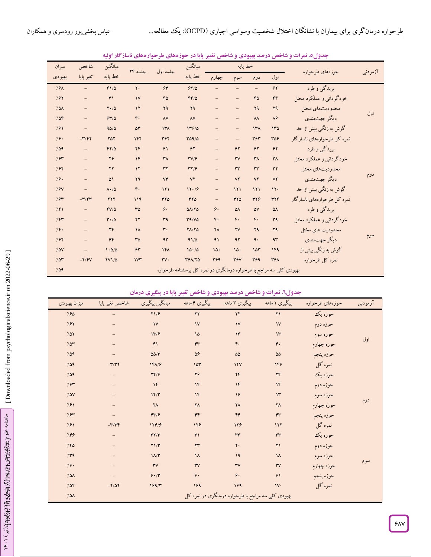| ميزان            | شاخص                     | ميانگين                       | جلسه ٢۴          | جلسه اول               | ميانگين                                                             |                     | خط پايه                |                      | حوزههاي طرحواره    | آزمودنبى                    |     |
|------------------|--------------------------|-------------------------------|------------------|------------------------|---------------------------------------------------------------------|---------------------|------------------------|----------------------|--------------------|-----------------------------|-----|
| بهبودي           | تغير پايا                | خط يايه                       |                  |                        | خط پایه                                                             | چهارم               | سوم                    | دوم                  | اول                |                             |     |
| 7.9A             | $\equiv$                 | $F1/\Delta$                   | $\mathbf{y}$ .   | $\gamma$               | 94/0                                                                |                     |                        |                      | $\gamma$           | بریدگی و طرد                |     |
| 7.91             | $\equiv$                 | $\mathsf{r}'$                 | $\mathsf{v}$     | 60                     | $FF/\Delta$                                                         |                     | $\qquad \qquad -$      | 60                   | $\mathfrak{r}$     | خودگرداني و عملكرد مختل     |     |
| 7.0 <sub>A</sub> | $\qquad \qquad -$        | $Y \cdot / \Delta$            | $\gamma$         | 29                     | 29                                                                  |                     | $\qquad \qquad -$      | 29                   | ۲۹                 | محدوديتهاى مختل             | اول |
| 708              | $\overline{\phantom{a}}$ | 94/0                          | $\mathfrak{r}$ . | $\Lambda V$            | $\Lambda\rm{V}$                                                     |                     | $\qquad \qquad -$      | $\lambda\lambda$     | $\lambda$ ۶        | ديگر جهت.ندي                |     |
| 7.81             |                          | 90/0                          | ۵٣               | $14\pi$                | 119/0                                                               |                     | $\equiv$               | $14\pi$              | 150                | گوش به زنگی بیش از حد       |     |
| 7.9.             | $-\mathbf{r}/\mathbf{r}$ | ۲۵۲                           | 147              | ٣۶٢                    | $T\Delta 9/ \Delta$                                                 |                     | $\qquad \qquad -$      | ٣۶٣                  | 309                | نمره کل طرحوارههای ناسازگار |     |
| 7.09             | $\overline{\phantom{a}}$ | $YY/\Delta$                   | YF               | $\mathcal{F}\setminus$ | 54                                                                  |                     | $\gamma$               | 54                   | $\gamma$           | بریدگی و طرد                |     |
| 7.94             | $\overline{\phantom{a}}$ | $Y\mathcal{G}$                | $\mathcal{N}$    | $\mathsf{r}\wedge$     | $\mathbf{r} \mathbf{v}/\mathbf{r}$                                  | $\qquad \qquad -$   | $\mathsf{r}\mathsf{v}$ | $\mathsf{r}_\Lambda$ | $\mathsf{r}\wedge$ | خودگرداني و عملكرد مختل     |     |
| 7.94             | $\equiv$                 | $\mathbf{y}$                  | $\mathcal{N}$    | $\tau\tau$             | $\mathbf{r} \mathbf{y}/\mathbf{r}$                                  |                     | rr                     | rr                   | $\tau\tau$         | محدوديت هاى مختل            |     |
| 79.              | $\overline{\phantom{a}}$ | ۵۱                            | ۲۹               | vr                     | YY                                                                  |                     | YY                     | YY                   | ٧٢                 | ديگر جهتمندي                | دوم |
| 7.9V             | $\qquad \qquad -$        | $\Lambda \cdot / \Delta$      | $\mathfrak{r}$ . | 111                    | 17.79                                                               |                     | 111                    | 111                  | 11.                | گوش به زنگی بیش از حد       |     |
| 7.94             | $-\mathbf{r}/\mathbf{r}$ | 777                           | 119              | ٣٢٥                    | $rr\delta$                                                          | $\qquad \qquad -$   | ٣٢٥                    | 374                  | 374                | نمره کل طرحوارههای ناسازگار |     |
| 7.51             | $\overline{\phantom{a}}$ | $FY/\Delta$                   | $r\Delta$        | ۶.                     | $\Delta\Lambda/\Upsilon\Delta$                                      | ۶.                  | ۵٨                     | ۵٧                   | $\Delta \Lambda$   | بریدگی و طرد                |     |
| 7.57             | $\equiv$                 | $\mathbf{r} \cdot \mathbf{0}$ | $\mathbf{y}$     | ٣٩                     | T9/V0                                                               | F.                  | $\mathfrak{r}$ .       | $\mathfrak{r}$ .     | r <sub>9</sub>     | خودگرداني و عملكرد مختل     |     |
| 7.5.             | $\equiv$                 | YF                            | $\lambda$        | $\mathbf{r}$ .         | $Y\Lambda/Y\Delta$                                                  | $\mathsf{Y}\Lambda$ | YV                     | 29                   | 79                 | محدوديت هاى مختل            |     |
| 7.94             | $\equiv$                 | 56                            | $r\Delta$        | 4r                     | 91/0                                                                | $\mathcal{A}$       | 97                     | ٩.                   | 4r                 | ديگر جهت.ندي                | سوم |
| 7.0V             | $\equiv$                 | 1.0/0                         | $\gamma$ ۳       | 141                    | 10.70                                                               | 10.                 | 10.                    | 10 <sup>4</sup>      | 149                | گوش به زنگی بیش از          |     |
| 707              | $-Y/ry$                  | <b>YV1/4</b>                  | $1\gamma$        | $\mathsf{rv}\cdot$     | <b>٣۶٨/٢٥</b>                                                       | 399                 | <b>٣۶٧</b>             | 399                  | ٣۶٨                | نمره كل طرحواره             |     |
| 7.09             |                          |                               |                  |                        | بهبودی کلی سه مراجع با طرحواره درمانگری در نمره کل پرسشنامه طرحواره |                     |                        |                      |                    |                             |     |

### **و شاخص تغییر پایا در حوزههای طرحوارههای ناسازگار اولیه شاخص درصد بهبودی . نمرات و جدول5**

**و شاخص تغییر پایا در پیگیری درمان شاخص درصد بهبودی . نمرات و جدول0**

|              |                          |                         | $1.32 \pm 0.00$<br>$\sim$ $\sim$ $\sim$ |                                                    | $\tilde{\phantom{a}}$<br>$\cdot$ |                 |          |
|--------------|--------------------------|-------------------------|-----------------------------------------|----------------------------------------------------|----------------------------------|-----------------|----------|
| ميزان بهبودي | شاخص تغير پايا           | ميانگين پيگيري          | پیگیری ۶ ماهه                           | پیگیری ۳ ماهه                                      | پیگیری ۱ ماهه                    | حوزههاي طرحواره | آزمودنبى |
| 7.90         |                          | Y1/9                    | YY                                      | $\mathbf{Y}$                                       | $\Upsilon$                       | حوزه يک         |          |
| 7.97         |                          | $\mathsf{v}$            | $\mathsf{V}$                            | $\mathsf{N}$                                       | $\mathsf{N}$                     | حوزه دوم        |          |
| 7.07         |                          | 11/9                    | $\sqrt{2}$                              | $\mathcal{N}$                                      | $\mathcal{N}$                    | حوزه سوم        |          |
| 7.04         |                          | F1                      | $\mathsf{Fr}$                           | $\mathfrak{r}$ .                                   | $\mathfrak{r}$ .                 | حوزه چهارم      | اول      |
| 7.09         |                          | $\Delta\Delta/\Upsilon$ | $\Delta \mathcal{F}$                    | $\Delta\Delta$                                     | $\Delta\Delta$                   | حوزه پنجم       |          |
| 7.09         | $-\tau/\tau\tau$         | $1F\Lambda/F$           | 10 <sup>r</sup>                         | 14V                                                | 149                              | نمره گل         |          |
| 7.09         |                          | YF/F                    | 79                                      | YF                                                 | YF                               | حوزه يک         |          |
| 7.84         |                          | $\mathcal{N}$           | $\mathcal{N}$                           | $\mathcal{N}$                                      | $\mathcal{N}$                    | حوزه دوم        |          |
| 7.0V         |                          | 1F/Y                    | $\mathcal{N}$                           | 16                                                 | $\mathcal{N}$                    | حوزه سوم        |          |
| 7.81         |                          | $\mathsf{Y}\wedge$      | $\mathsf{Y}\Lambda$                     | $\mathsf{Y}\wedge$                                 | $\mathsf{Y}\Lambda$              | حوزه چهارم      | دوم      |
| 7.94         |                          | FT/9                    | $\mathfrak{r} \mathfrak{r}$             | $\mathfrak{r}$                                     | $\mathfrak{r}$                   | حوزه پنجم       |          |
| 7.81         | $-\mathbf{r}/\mathbf{r}$ | 179/9                   | 128                                     | 179                                                | 117                              | نمره گل         |          |
| 7.89         |                          | $\mathbf{r} \mathbf{y}$ | $\mathsf{r}_1$                          | rr                                                 | rr                               | حوزه يک         |          |
| 7.80         |                          | $Y1/\mathfrak{r}$       | $\mathbf{y}$                            | $\mathbf{y}$ .                                     | $\Upsilon$                       | حوزه دوم        |          |
| 7.59         |                          | $1/\tau$                | $\lambda$                               | 19                                                 | $\lambda$                        | حوزه سوم        |          |
| 19.          |                          | $\mathsf{r}\mathsf{v}$  | $\mathsf{r}\mathsf{v}$                  | $\mathsf{rv}$                                      | $\mathsf{rv}$                    | حوزه چهارم      | سوم      |
| 7.0A         |                          | 9.7                     | ۶.                                      | ۶.                                                 | $\mathcal{F}\setminus$           | حوزه پنجم       |          |
| 7.08         | $-Y/\Delta Y$            | 199/T                   | 189                                     | 169                                                | $\mathsf{iv}$                    | نمره گل         |          |
| 7.0A         |                          |                         |                                         | بهبودی کلی سه مراجع با طرحواره درمانگری در نمره کل |                                  |                 |          |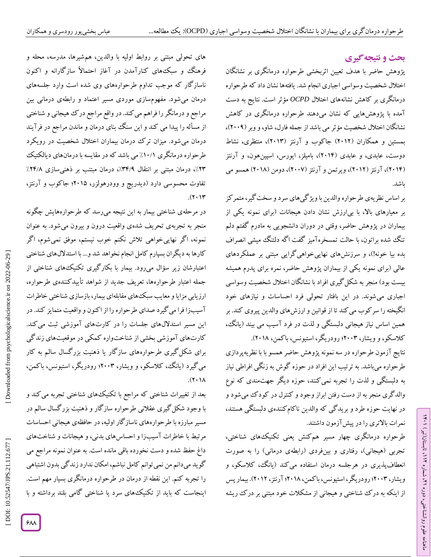# **ی نتیجهگیر بحث و**

پژوهش حاضر با هدف تعیین اثربخشی طرحواره درمانگری بر نشانگان اختالل شخصیت وسواسی اجباری انجام شد. یافتهها نشان داد که طرحواره درمانگری بر کاهش نشانههای اختالل *OCPD* مؤثر است. نتایج به دست آمده با پژوهشهایی که نشان میدهند طرحواره درمانگری در کاهش نشانگان اختلال شخصیت مؤثر می باشد از جمله فارل، شاو، و وبر (۲۰۰۹)، بمستین و همکاران )2612( جاکوب و آرنتز )2612(، منتظری، نشاط دوست، عابدی، و عابدی )2614(، بامیلز، ایورس، اسپینهون، و آرنتز (۲۰۱۴)، ارنتز (۲۰۱۲)، ویرتمن و آرنتز (۲۰۰۷)، دومن (۲۰۱۸) همسو می باشد.

بر اساس نظریهی طرحوارهوالدین با ویژگیهای سرد و سختگیر، متمرکز بر معیارهای بالا، با بی|رزش نشان دادن هیجانات (برای نمونه یکی از بیماران در پژوهش حاضر، وقتی در دوران دانشجویی به مادرم گفتم دلم تنگ شده براتون، با حالت تمسخرهآمیز گفت اگه دلتنگ میشی انصراف بده بیا خونه!(، و سرزنشهای نهاییخواهیگرایی مبتنی بر عملکردهای عالی )برای نمونه یکی از بیماران پژوهش حاضر، نمره برای پدرم همیشه بیست بود) منجر به شکل گیری افراد با نشانگان اختلال شخصیت وسواسی اجباری میشوند. در این بافتار تحولی فرد احساسات و نیازهای خود انگیخته را سرکوب میکند تا از قوانین و ارزشهای والدین پیروی کند. بر همین اساس نیاز هیجانی دلبستگی و لذت در فرد آسیب می بیند )یانگ، کالسکو، و ویشار، 2662؛ رودریگر، استیونس، باکمن، 2618(.

نتایج آزمون طرحواره در سه نمونه پژوهش حاضر همسو با با نظریهپردازی طرحواره میباشد. به ترتیب این افراد در حوزه گوش به زنگی افراطی نیاز به دلبستگی و لذت را تجربه نمیکنند، حوزه دیگر جهتمندی که نوع والدگری منجر به از دست رفتن ابراز وجود و کنترل در کودک میشود و در نهایت حوزه طرد و بریدگی که والدین ناکامکنندهی دلبستگی هستند، نمرات باالتری را در پیشآزمون داشتند.

طرحواره درمانگری چهار مسیر همکنش یعنی تکنیکهای شناختی، تجربی (هیجانی)، رفتاری و بینفردی (رابطهی درمانی) را به صورت انعطافپذیری در هرجلسه درمان استفاده میکند )یانگ، کالسکو، و ویشار، ۲۰۰۳؛ رودریگر، استیونس، با کمن، ۲۰۱۸؛ ارنتز، ۲۰۱۲). بیمار پس از اینکه به درک شناختی و هیجانی از مشکالت خود مبتنی بر درک ریشه

های تحولی مبتنی بر روابط اولیه با والدین، همشیرها، مدرسه، محله و فرهنگ و سبک های کنارآمدن در آغاز احتمالاً سازگارانه و اکنون ناسازگار که موجب تداوم طرحوارههای وی شده است وارد جلسههای درمان میشود. مفهومسازی موردی مسیر اعتماد و رابطهی درمانی بین مراجع و درمانگر را فراهم میکند. در واقع مراجع درک هیجانی و شناختی از مسأله را پیدا می کند و این سنگ بنای درمان و ماندن مراجع در فرآیند درمان میشود. میزان ترک درمان بیماران اختالل شخصیت در رویکرد طرحواره درمانگری ۱۰/۱٪ می باشد که در مقایسه با درمانهای دیالکتیک ۲۳٪، درمان مبتنی بر انتقال ۳۴/۹٪، درمان مبتنب بر ذهنیسازی ۲۴/۸٪ تفاوت محسوسی دارد )دیدریچ و وودرهولزر، 2615؛ جاکوب و آرنتز،  $(7.14)$ 

در مرحلهی شناختی بیمار به این نتیجه میرسد که طرحوارههایش چگونه منجر به تجربهی تحریف شدهی واقعیت درون و بیرون میشود. به عنوان نمونه، اگر نهاییخواهی تالش نکنم خوب نیستم، موفق نمیشوم، اگر کارها به دیگران بسپارم کامل انجام نخواهد شد و... با استداللهای شناختی اعتبارشان زیر سؤال میرود. بیمار با بکارگیری تکنیکهای شناختی از جمله اعتبار طرحوارهها، تعریف جدید از شواهد تأییدکنندهی طرحواره، ارزیابی مزایا و معایب سبکهای مفابلهای بیمار، بازسازی شناختی خاطرات آسیبزا فرا میگیرد صدای طرحوارهرا از اکنون و واقعیت متمایز کند. در این مسیر استداللهای جلسات را در کارتهای آموزشی ثبت میکند. کارتهای آموزشی بخشی از شناختواره کمکی در موقعیتهای زندگی برای شکلگیری طرحوارههای سازگار یا ذهنیت بزرگسال سالم به کار میگیرد )یانگ، کالسکو، و ویشار، 2662؛ رودریگر، استیونس، باکمن،  $\lambda$  $($ ,  $\gamma$ ).

بعد از تغییرات شناختی که مراجع با تکنیک۵های شناختی تجربه می کند و با وجود شکلگیری عقالنی طرحواره سازگار و ذهنیت بزرگسال سالم در مسیر مبارزه با طرحوارههای ناسازگار اولیه، در حافظهی هیجانی احساسات مرتبط با خاطرات آسیبزا و احساسهای بدنی، و هیجانات و شناختهای داغ حفظ شده و دست نخورده باقی مانده است. به عنوان نمونه مراجع می گوید میدانم من نمیتوانم کامل نباشم، امکان ندارد زندگی بدون اشتباهی را تجربه کنم. این نقطه از درمان در طرحواره درمانگری بسیار مهم است. اینجاست که باید از تکنیکهای سرد یا شناختی گامی بلند برداشته و با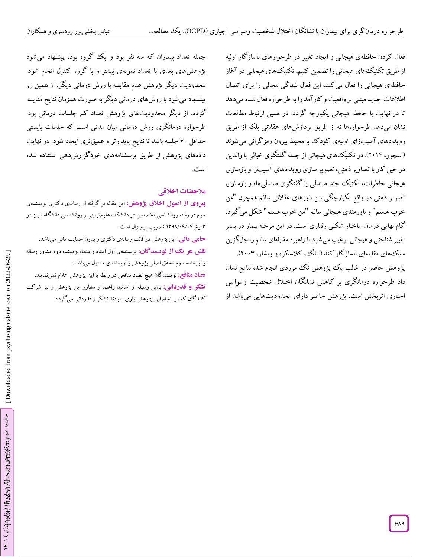فعال کردن حافظهی هیجانی و ایجاد تغییر در طرحوارهای ناسازگار اولیه از طریق تکنیکهای هیجانی را تضمین کنیم. تکنیکهای هیجانی در آغاز حافظهی هیجانی را فعال میکند، این فعال شدگی مجالی را برای اتصال اطالعات جدید مبتنی بر واقعیت و کارآمد را به طرحواره فعال شده میدهد تا در نهایت با حافظه هیجانی یکپارچه گردد. در همین ارتباط مطالعات نشان میدهد طرحوارهها نه از طریق پردازشهای عقالنی بلکه از طریق رویدادهای آسیبزای اولیهی کودک با محیط بیرون رمزگرانی میشوند )اسچور، 2614(. در تکنیکهای هیجانی از جمله گفتگوی خیالی با والدین در حین کار با تصاویر ذهنی، تصویر سازی رویدادهای آسیبزا و بازسازی هیجانی خاطرات، تکنیک چند صندلی یا گفتگوی صندلیها، و بازسازی تصویر ذهنی در واقع یکپارچگی بین باورهای عقلانی سالم همچون "من خوب هستم" و باورمندی هیجانی سالم "من خوب هستم" شکل می گیرد. گام نهایی درمان ساختار شکنی رفتاری است. در این مرحله بیمار در بستر تغییر شناختی و هیجانی ترغیب میشود تا راهبرد مقابلهای سالم را جایگزین سبکهای مقابلهای ناسازگار کند )یانگ، کالسکو، و ویشار، 2662(.

پژوهش حاضر در غالب یک پژوهش تک موردی انجام شد، نتایج نشان داد طرحواره درمانگری بر کاهش نشانگان اختالل شخصیت وسواسی اجباری اثربخش است. پژوهش حاضر دارای محدودیتهایی میباشد از

جمله تعداد بیماران که سه نفر بود و یک گروه بود. پیشنهاد میشود پژوهشهای بعدی با تعداد نمونهی بیشتر و با گروه کنترل انجام شود. محدودیت دیگر پژوهش عدم مقایسه با روش درمانی دیگر، از همین رو پیشنهاد میشود با روشهای درمانی دیگر به صورت همزمان نتایج مقایسه گردد. از دیگر محدودیتهای پژوهش تعداد کم جلسات درمانی بود. طرحواره درمانگری روش درمانی میان مدتی است که جلسات بایستی حداقل 06 جلسه باشد تا نتایج پایدارتر و عمیقتری ایجاد شود. در نهایت دادههای پژوهش از طریق پرسشنامههای خودگزارشدهی استفاده شده است.

### **مالحضات اخالقی**

این مقاله بر گرفته از رسالهی دکتری نویسندهی **از اصول اخالق پژوهش: پیروی** سوم در رشته روانشناسی تخصصی در دانشکده علومتربیتی و روانشناسی دانشگاه تبریز در تاریخ ۱۳۹۸/۰۹/۰۴ تصویب پروپزال است.

این پژوهش در قالب رسالهی دکتری و بدون حمایت مالی میباشد. **: مالی حامی نقش هو یک از نویسندگان:** نویسندهی اول استاد راهنما، نویسنده دوم مشاور رساله و نویسنده سوم محقق اصلی پژوهش و نویسندهی مسئول میباشد.

نویسندگان هیچ تضاد منافعی در رابطه با این پژوهش اعالم نمینمایند. **تضاد منافع:** بدین وسیله از اساتید راهنما و مشاور این پژوهش و نیز شرکت **: قدردانی تشکر و** کنندگان که در انجام این پژوهش یاری نمودند تشکر و قدردانی میگردد.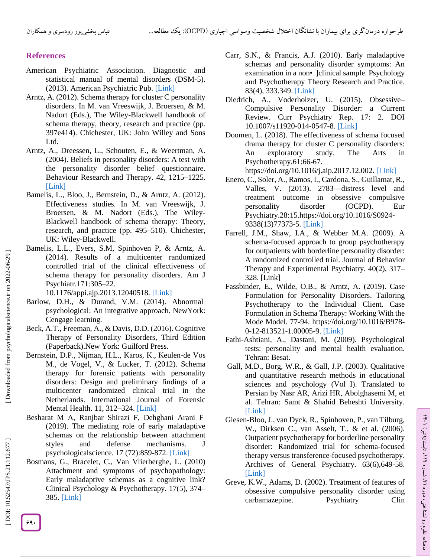# **References**

- American Psychiatric Association. Diagnostic and statistical manual of mental disorders (DSM -5). (2013). American Psychiatric Pub. [\[Link](http://repository.poltekkes-kaltim.ac.id/657/1/Diagnostic%20and%20statistical%20manual%20of%20mental%20disorders%20_%20DSM-5%20%28%20PDFDrive.com%20%29.pdf) ]
- Arntz, A. (2012). Schema therapy for cluster C personality disorders. In M. van Vreeswijk, J. Broersen, & M. Nadort (Eds.), The Wiley -Blackwell handbook of schema therapy, theory, research and practice (pp. 397e414). Chichester, UK: John Willey and Sons Ltd.
- Arntz, A., Dreessen, L., Schouten, E., & Weertman, A. (2004). Beliefs in personality disorders: A test with the personality disorder belief questionnaire. Behaviour Research and Therapy. 42, 1215 –1225. [\[Link](https://doi.org/10.1016/j.brat.2003.08.004) ]
- Bamelis, L., Bloo, J., Bernstein, D., & Arntz, A. (2012). Effectiveness studies. In M. van Vreeswijk, J. Broersen, & M. Nadort (Eds.), The Wiley - Blackwell handbook of schema therapy: Theory, research, and practice (pp. 495 –510). Chichester, UK: Wiley -Blackwell.
- Bamelis, L.L., Evers, S.M, Spinhoven P, & Arntz, A. (2014). Results of a multicenter randomized controlled trial of the clinical effectiveness of schema therapy for personality disorders. Am J Psychiatr.171:305 –22.

[10.1176/appi.ajp.2013.12040518.](https://doi.org/10.1176/appi.ajp.2013.12040518) [\[Link](file:///C:/Users/microsoft/Downloads/10.1176/appi.ajp.2013.12040518) ]

- Barlow, D.H., & Durand, V.M. (2014). Abnormal psychological: An integrative approach . NewYork: Cengage learning.
- Beck, A.T., Freeman, A., & Davis, D.D. (2016). Cognitive Therapy of Personality Disorders, Third Edition (Paperback).New York: Guilford Press.
- Bernstein, D.P., Nijman, H.L., Karos, K., Keulen -de Vos M., de Vogel, V., & Lucker, T. (2012). Schema therapy for forensic patients with personality disorders: Design and preliminary findings of a multicenter randomized clinical trial in the Netherlands. International Journal of Forensic Mental Health. 11, 312–324. [\[Link](https://www.tandfonline.com/doi/abs/10.1080/14999013.2012.746757)]
- Besharat M A, Ranjbar Shirazi F, Dehghani Arani F (2019). The mediating role of early maladaptive schemas on the relationship between attachment styles and defense mechanisms. J [psychologicalscience.](http://psychologicalscience.ir/article-1-324-fa.html) 17 (72):859-872. [\[Link](https://psychologicalscience.ir/article-1-324-fa.html&sw=%D8%B1%D9%86%D8%AC%D8%A8%D8%B1+%D8%B4%DB%8C%D8%B1%D8%A7%D8%B2%DB%8C)]
- Bosmans, G., [Bracelet, C., Van Vlierberghe, L. \(2010\)](https://www.google.com/search?rlz=1C1CHWL_faIR953IR953&sxsrf=ALeKk03A7t7tnbt2r2e97Umx4QQomiGCWA:1628221208646&q=Bosmans,+G.,+Bracelet,+C.,+Van+Vlierberghe,+L.+\(2010\)+Attachment+and+symptoms+of+psychopathology:+Early+maladaptive+schemas+as+a+cognitive+link?+Clinical+Psychology+%26+Psychotherapy.+17\(5\),+374%E2%80%93385.&spell=1&sa=X&ved=2ahUKEwiz24bWvJvyAhXNzYUKHYpGAjEQBSgAegQIARAt)  [Attachment and symptoms of psychopathology:](https://www.google.com/search?rlz=1C1CHWL_faIR953IR953&sxsrf=ALeKk03A7t7tnbt2r2e97Umx4QQomiGCWA:1628221208646&q=Bosmans,+G.,+Bracelet,+C.,+Van+Vlierberghe,+L.+\(2010\)+Attachment+and+symptoms+of+psychopathology:+Early+maladaptive+schemas+as+a+cognitive+link?+Clinical+Psychology+%26+Psychotherapy.+17\(5\),+374%E2%80%93385.&spell=1&sa=X&ved=2ahUKEwiz24bWvJvyAhXNzYUKHYpGAjEQBSgAegQIARAt)  [Early maladaptive schemas as a cognitive link?](https://www.google.com/search?rlz=1C1CHWL_faIR953IR953&sxsrf=ALeKk03A7t7tnbt2r2e97Umx4QQomiGCWA:1628221208646&q=Bosmans,+G.,+Bracelet,+C.,+Van+Vlierberghe,+L.+\(2010\)+Attachment+and+symptoms+of+psychopathology:+Early+maladaptive+schemas+as+a+cognitive+link?+Clinical+Psychology+%26+Psychotherapy.+17\(5\),+374%E2%80%93385.&spell=1&sa=X&ved=2ahUKEwiz24bWvJvyAhXNzYUKHYpGAjEQBSgAegQIARAt)  [Clinical Psychology & Psychotherapy. 17\(5\), 374](https://www.google.com/search?rlz=1C1CHWL_faIR953IR953&sxsrf=ALeKk03A7t7tnbt2r2e97Umx4QQomiGCWA:1628221208646&q=Bosmans,+G.,+Bracelet,+C.,+Van+Vlierberghe,+L.+\(2010\)+Attachment+and+symptoms+of+psychopathology:+Early+maladaptive+schemas+as+a+cognitive+link?+Clinical+Psychology+%26+Psychotherapy.+17\(5\),+374%E2%80%93385.&spell=1&sa=X&ved=2ahUKEwiz24bWvJvyAhXNzYUKHYpGAjEQBSgAegQIARAt) – [385.](https://www.google.com/search?rlz=1C1CHWL_faIR953IR953&sxsrf=ALeKk03A7t7tnbt2r2e97Umx4QQomiGCWA:1628221208646&q=Bosmans,+G.,+Bracelet,+C.,+Van+Vlierberghe,+L.+\(2010\)+Attachment+and+symptoms+of+psychopathology:+Early+maladaptive+schemas+as+a+cognitive+link?+Clinical+Psychology+%26+Psychotherapy.+17\(5\),+374%E2%80%93385.&spell=1&sa=X&ved=2ahUKEwiz24bWvJvyAhXNzYUKHYpGAjEQBSgAegQIARAt) [\[Link](https://pubmed.ncbi.nlm.nih.gov/20013761/) ]
- Carr, S.N., & Francis, A.J. (2010). Early maladaptive schemas and personality disorder symptoms: An examination in a non • ]clinical sample. Psychology and Psychotherapy Theory Research and Practice. 83(4), 333.349. [\[Link](https://pubmed.ncbi.nlm.nih.gov/25268482/) ]
- Diedrich, A., Voderholzer, U. (2015). Obsessive Compulsive Personality Disorder: a Current Review. Curr Psychiatry Rep. 17: 2. DOI 10.1007/s11920 -014 -0547 -8. [\[Link](https://pubmed.ncbi.nlm.nih.gov/25617042/) ]
- Doomen, L. (2018). [The effectiveness of schema focused](https://www.sciencedirect.com/science/article/pii/S0197455617300497)  [drama therapy for cluster C personality disorders:](https://www.sciencedirect.com/science/article/pii/S0197455617300497)  [An exploratory study.](https://www.sciencedirect.com/science/article/pii/S0197455617300497) [The Arts in](https://www.sciencedirect.com/science/journal/01974556)  [Psychotherapy.](https://www.sciencedirect.com/science/journal/01974556)61:66 -67.

<https://doi.org/10.1016/j.aip.2017.12.002>. [\[Link](https://www.sciencedirect.com/science/article/abs/pii/S0197455617300497)]

- Enero, C., Soler, A., Ramos, I., Cardona, S., Guillamat, R., Valles, V. (2013). 2783 —distress level and treatment outcome in obsessive compulsive personality disorder (OCPD). Eur Psychiatry.28:15[.https://doi.org/10.1016/S0924](https://doi.org/10.1016/S0924-9338\(13\)77373-5) - [9338\(13\)77373](https://doi.org/10.1016/S0924-9338\(13\)77373-5)-5. [\[Link](https://www.sciencedirect.com/science/article/abs/pii/S0924933813773735?via%3Dihub)]
- Farrell, J.M., Shaw, I.A., & Webber M.A. (2009). A schema -focused approach to group psychotherapy for outpatients with borderline personality disorder: A randomized controlled trial. Journal of Behavior Therapy and Experimental Psychiatry. 40(2), 317 – 328. [\[Link](https://pubmed.ncbi.nlm.nih.gov/19176222/) ]
- Fassbinder, E., [Wilde, O.B., & Arntz](https://www.sciencedirect.com/science/article/pii/B9780128135211000059#!), A. (2019). [Case](https://www.sciencedirect.com/science/book/9780128135211)  [Formulation for Personality Disorders.](https://www.sciencedirect.com/science/book/9780128135211) Tailoring Psychotherapy to the Individual Client. Case Formulation in Schema Therapy: Working With the Mode Model. 77 -94. [https://doi.org/10.1016/B978](https://doi.org/10.1016/B978-0-12-813521-1.00005-9) - 0-12-813521[-1.00005](https://doi.org/10.1016/B978-0-12-813521-1.00005-9)-9. [\[Link](https://psycnet.apa.org/record/2018-36040-005)]
- Fathi -Ashtiani, A., Dastani, M. (2009). Psychological tests: personality and mental health evaluation. Tehran: Besat.
- Gall, M.D., Borg, W.R., & Gall, J.P. (2003). Qualitative and quantitative research methods in educational sciences and psychology (Vol I). Translated to Persian by Nasr AR, Arizi HR, Abolghasemi M, et al. Tehran: Samt & Shahid Beheshti University. [\[Link\]](https://www.pearson.com/us/higher-education/product/Gall-Educational-Research-An-Introduction-7th-Edition/9780321081896.html)
- Giesen -Bloo, J., van Dyck, R., Spinhoven, P., van Tilburg, W., Dirksen C., van Asselt, T., & et al. (2006). Outpatient psychotherapy for borderline personality disorder: Randomized trial for schema -focused therapy versus transference -focused psychotherapy. Archives of General Psychiatry. 63(6),649 -58. [\[Link](https://pubmed.ncbi.nlm.nih.gov/16754838/) ]
- Greve, K.W., Adams, D. (2002). Treatment of features of obsessive compulsive personality disorder using carbamazepine. Psychiatry Clin

DOI: 10.52547/JPS.21.112.677]

[Downloaded from psychologicalscience.ir on 2022-06-29]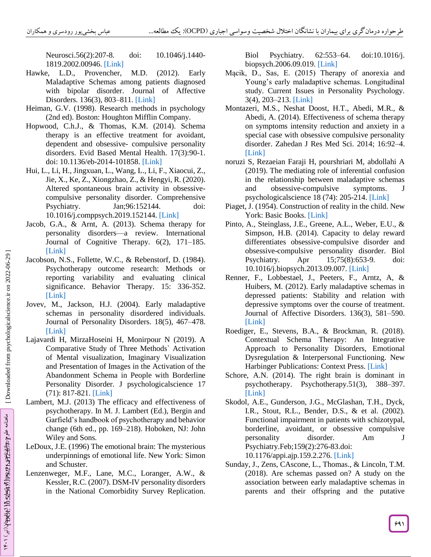Neurosci.56(2):207-8. -8. doi: 10.1046/j.1440 - 1819.2002.00946. [\[Link](https://pubmed.ncbi.nlm.nih.gov/11952927/) ]

- Hawke, L.D., Provencher, (2012). Early Maladaptive Schemas among patients diagnosed with bipolar disorder. Journal of Affective Disorders. 136(3), 803-811. [\[Link](https://pubmed.ncbi.nlm.nih.gov/22030132/)]
- Heiman, G.V. (1998). Research methods in psychology (2nd ed). Boston: Houghton Mifflin Company.
- Hopwood, C.h.J., & Thomas, K.M. (2014). Schema therapy is an effective treatment for avoidant, dependent and obsessive - compulsive personality disorders. Evid Based Mental Health. 17(3):90 -1. doi: 10.1136/eb-2014-101858. [\[Link](https://pubmed.ncbi.nlm.nih.gov/25009174/)]
- [Hui, L., Li, H., Jingxuan, L.,](https://www.google.com/search?rlz=1C1CHWL_faIR953IR953&sxsrf=ALeKk00lUUeF2_EVRR20CylPHlzgJVyttA:1628222936588&q=Hui,+L.,+Li,+H.,+Jingxuan,+L.,+Wang,+L.,+Li,+F.,+Xiaocui,+Z.,+Jie,+X.,+Ke,+Z.,+Xiongzhao,+Z.,+%26+Hengyi,+R.+\(2020\).+Altered+spontaneous+brain+activity+in+obsessive-compulsive+personality+disorder.+Comprehensive+Psychiatry.+Jan;96:152144.+doi:+10.1016/j.comppsych.2019.152144.&spell=1&sa=X&ved=2ahUKEwiX9f-Nw5vyAhWPTcAKHV-BBA4QBSgAegQIARAt) Wang, L., Li, F., Xiaocui, Z., [Jie, X., Ke, Z., Xiongzhao, Z., & Hengyi, R. \(2020\).](https://www.google.com/search?rlz=1C1CHWL_faIR953IR953&sxsrf=ALeKk00lUUeF2_EVRR20CylPHlzgJVyttA:1628222936588&q=Hui,+L.,+Li,+H.,+Jingxuan,+L.,+Wang,+L.,+Li,+F.,+Xiaocui,+Z.,+Jie,+X.,+Ke,+Z.,+Xiongzhao,+Z.,+%26+Hengyi,+R.+\(2020\).+Altered+spontaneous+brain+activity+in+obsessive-compulsive+personality+disorder.+Comprehensive+Psychiatry.+Jan;96:152144.+doi:+10.1016/j.comppsych.2019.152144.&spell=1&sa=X&ved=2ahUKEwiX9f-Nw5vyAhWPTcAKHV-BBA4QBSgAegQIARAt)  [Altered spontaneous brain activity in obsessive](https://www.google.com/search?rlz=1C1CHWL_faIR953IR953&sxsrf=ALeKk00lUUeF2_EVRR20CylPHlzgJVyttA:1628222936588&q=Hui,+L.,+Li,+H.,+Jingxuan,+L.,+Wang,+L.,+Li,+F.,+Xiaocui,+Z.,+Jie,+X.,+Ke,+Z.,+Xiongzhao,+Z.,+%26+Hengyi,+R.+\(2020\).+Altered+spontaneous+brain+activity+in+obsessive-compulsive+personality+disorder.+Comprehensive+Psychiatry.+Jan;96:152144.+doi:+10.1016/j.comppsych.2019.152144.&spell=1&sa=X&ved=2ahUKEwiX9f-Nw5vyAhWPTcAKHV-BBA4QBSgAegQIARAt) [compulsive personality disorder. Comprehensive](https://www.google.com/search?rlz=1C1CHWL_faIR953IR953&sxsrf=ALeKk00lUUeF2_EVRR20CylPHlzgJVyttA:1628222936588&q=Hui,+L.,+Li,+H.,+Jingxuan,+L.,+Wang,+L.,+Li,+F.,+Xiaocui,+Z.,+Jie,+X.,+Ke,+Z.,+Xiongzhao,+Z.,+%26+Hengyi,+R.+\(2020\).+Altered+spontaneous+brain+activity+in+obsessive-compulsive+personality+disorder.+Comprehensive+Psychiatry.+Jan;96:152144.+doi:+10.1016/j.comppsych.2019.152144.&spell=1&sa=X&ved=2ahUKEwiX9f-Nw5vyAhWPTcAKHV-BBA4QBSgAegQIARAt)  [Psychiatry. Jan;96:152144. doi:](https://www.google.com/search?rlz=1C1CHWL_faIR953IR953&sxsrf=ALeKk00lUUeF2_EVRR20CylPHlzgJVyttA:1628222936588&q=Hui,+L.,+Li,+H.,+Jingxuan,+L.,+Wang,+L.,+Li,+F.,+Xiaocui,+Z.,+Jie,+X.,+Ke,+Z.,+Xiongzhao,+Z.,+%26+Hengyi,+R.+\(2020\).+Altered+spontaneous+brain+activity+in+obsessive-compulsive+personality+disorder.+Comprehensive+Psychiatry.+Jan;96:152144.+doi:+10.1016/j.comppsych.2019.152144.&spell=1&sa=X&ved=2ahUKEwiX9f-Nw5vyAhWPTcAKHV-BBA4QBSgAegQIARAt)  [10.1016/j.comppsych.2019.152144.](https://www.google.com/search?rlz=1C1CHWL_faIR953IR953&sxsrf=ALeKk00lUUeF2_EVRR20CylPHlzgJVyttA:1628222936588&q=Hui,+L.,+Li,+H.,+Jingxuan,+L.,+Wang,+L.,+Li,+F.,+Xiaocui,+Z.,+Jie,+X.,+Ke,+Z.,+Xiongzhao,+Z.,+%26+Hengyi,+R.+\(2020\).+Altered+spontaneous+brain+activity+in+obsessive-compulsive+personality+disorder.+Comprehensive+Psychiatry.+Jan;96:152144.+doi:+10.1016/j.comppsych.2019.152144.&spell=1&sa=X&ved=2ahUKEwiX9f-Nw5vyAhWPTcAKHV-BBA4QBSgAegQIARAt) [\[Link](https://pubmed.ncbi.nlm.nih.gov/31707312/) ]
- Jacob, G.A., & Arnt, A. (2013). Schema therapy for personality disorders —a review. International Journal of Cognitive Therapy. 6(2), 171 –185. [\[Link](https://guilfordjournals.com/doi/abs/10.1521/ijct.2013.6.2.171) ]
- [Jacobson, N.S., Follette, W.C., &](https://www.google.com/search?rlz=1C1CHWL_faIR953IR953&sxsrf=ALeKk00ey4GJCvXIH1b6RUaNijamQKjttg:1628223100064&q=Jacobson,+N.S.,+Follette,+W.C.,+%26+Rebenstorf,+D.+\(1984\).+Psychotherapy+outcome+research:+Methods+or+reporting+variability+and+evaluating+clinical+significance.+Behavior+Therapy.+15:+336-352.&spell=1&sa=X&ved=2ahUKEwio4vnbw5vyAhUHCsAKHd2vAoEQBSgAegQIARAt) Rebenstorf, D. (1984). [Psychotherapy outcome research: Methods or](https://www.google.com/search?rlz=1C1CHWL_faIR953IR953&sxsrf=ALeKk00ey4GJCvXIH1b6RUaNijamQKjttg:1628223100064&q=Jacobson,+N.S.,+Follette,+W.C.,+%26+Rebenstorf,+D.+\(1984\).+Psychotherapy+outcome+research:+Methods+or+reporting+variability+and+evaluating+clinical+significance.+Behavior+Therapy.+15:+336-352.&spell=1&sa=X&ved=2ahUKEwio4vnbw5vyAhUHCsAKHd2vAoEQBSgAegQIARAt)  [reporting variability](https://www.google.com/search?rlz=1C1CHWL_faIR953IR953&sxsrf=ALeKk00ey4GJCvXIH1b6RUaNijamQKjttg:1628223100064&q=Jacobson,+N.S.,+Follette,+W.C.,+%26+Rebenstorf,+D.+\(1984\).+Psychotherapy+outcome+research:+Methods+or+reporting+variability+and+evaluating+clinical+significance.+Behavior+Therapy.+15:+336-352.&spell=1&sa=X&ved=2ahUKEwio4vnbw5vyAhUHCsAKHd2vAoEQBSgAegQIARAt) and evaluating clinical [significance. Behavior Therapy. 15: 336](https://www.google.com/search?rlz=1C1CHWL_faIR953IR953&sxsrf=ALeKk00ey4GJCvXIH1b6RUaNijamQKjttg:1628223100064&q=Jacobson,+N.S.,+Follette,+W.C.,+%26+Rebenstorf,+D.+\(1984\).+Psychotherapy+outcome+research:+Methods+or+reporting+variability+and+evaluating+clinical+significance.+Behavior+Therapy.+15:+336-352.&spell=1&sa=X&ved=2ahUKEwio4vnbw5vyAhUHCsAKHd2vAoEQBSgAegQIARAt)-352. [\[Link](https://www.sciencedirect.com/science/article/abs/pii/S0005789484800027) ]
- Jovev, M., Jackson, H.J. (2004). Early maladaptive schemas in personality disordered individuals. Journal of Personality Disorders. 18(5), 467 –478. [\[Link](https://psycnet.apa.org/record/2004-20984-005) ]
- Lajavardi H, MirzaHoseini H, Monirpour N (2019). A Comparative Study of Three Methods` Activation of Mental visualization, Imaginary Visualization and Presentation of Images in the Activation of the Abandonment Schema in People with Borderline Personality Disorder. J [psychologicalscience](http://psychologicalscience.ir/article-1-324-fa.html) 17 (71): 817 -821. [\[Link](https://psychologicalscience.ir/article-1-312-fa.html&sw=%D9%84%D8%A7%D8%AC%D9%88%D8%B1%D8%AF%DB%8C) ]
- Lambert, M.J. (2013) The efficacy and effectiveness of psychotherapy. In M. J. Lambert (Ed.), Bergin and Garfield's handbook of psychotherapy and behavior change (6th ed., pp. 169 –218). Hoboken, NJ: John Wiley and Sons.
- LeDoux, J.E. (1996) The emotional brain: The mysterious underpinnings of emotional life. New York: Simon and Schuster.
- Lenzenweger, M.F., Lane, M.C., Loranger, A.W., & Kessler, R.C. (2007). DSM -IV personality disorders in the National Comorbidity Survey Replication.

Biol Psychiatry. 62:553–64. –64. doi:10.1016/j. biopsych.2006.09.019. [\[Link](https://pubmed.ncbi.nlm.nih.gov/17217923/) ]

- Mącik, D., Sas, E. (2015) Therapy of anorexia and Young's early maladaptive schemas. Longitudinal study. Current Issues in Personality Psychology. 3(4), 203 –213. [\[Link](https://www.researchgate.net/publication/284748718_Therapy_of_anorexia_and_Young) ]
- Montazeri, M.S., [Neshat Doost, H.T., Abedi, M.R., &](https://www.google.com/search?rlz=1C1CHWL_faIR953IR953&sxsrf=ALeKk004SRoH10Vs7iHPKkWMlJLb2DE_FA:1628223802285&q=Montazeri,+M.S.,+Neshat+Doost,+H.T.,+Abedi,+M.R.,+%26+Abedi,+A.+\(2014\).+Effectiveness+of+schema+therapy+on+symptoms+intensity+reduction+and+anxiety+in+a+special+case+with+obsessive+compulsive+personality+disorder.+Zahedan+J+Res+Med+Sci.+2014;+16:92%E2%80%934.&spell=1&sa=X&ved=2ahUKEwia7-WqxpvyAhVNfMAKHU36BKcQBSgAegQIARAt)  [Abedi, A. \(2014\). Effectiveness of schema therapy](https://www.google.com/search?rlz=1C1CHWL_faIR953IR953&sxsrf=ALeKk004SRoH10Vs7iHPKkWMlJLb2DE_FA:1628223802285&q=Montazeri,+M.S.,+Neshat+Doost,+H.T.,+Abedi,+M.R.,+%26+Abedi,+A.+\(2014\).+Effectiveness+of+schema+therapy+on+symptoms+intensity+reduction+and+anxiety+in+a+special+case+with+obsessive+compulsive+personality+disorder.+Zahedan+J+Res+Med+Sci.+2014;+16:92%E2%80%934.&spell=1&sa=X&ved=2ahUKEwia7-WqxpvyAhVNfMAKHU36BKcQBSgAegQIARAt)  [on symptoms intensity reduction and anxiety in a](https://www.google.com/search?rlz=1C1CHWL_faIR953IR953&sxsrf=ALeKk004SRoH10Vs7iHPKkWMlJLb2DE_FA:1628223802285&q=Montazeri,+M.S.,+Neshat+Doost,+H.T.,+Abedi,+M.R.,+%26+Abedi,+A.+\(2014\).+Effectiveness+of+schema+therapy+on+symptoms+intensity+reduction+and+anxiety+in+a+special+case+with+obsessive+compulsive+personality+disorder.+Zahedan+J+Res+Med+Sci.+2014;+16:92%E2%80%934.&spell=1&sa=X&ved=2ahUKEwia7-WqxpvyAhVNfMAKHU36BKcQBSgAegQIARAt)  [special case with obsessive compulsive personality](https://www.google.com/search?rlz=1C1CHWL_faIR953IR953&sxsrf=ALeKk004SRoH10Vs7iHPKkWMlJLb2DE_FA:1628223802285&q=Montazeri,+M.S.,+Neshat+Doost,+H.T.,+Abedi,+M.R.,+%26+Abedi,+A.+\(2014\).+Effectiveness+of+schema+therapy+on+symptoms+intensity+reduction+and+anxiety+in+a+special+case+with+obsessive+compulsive+personality+disorder.+Zahedan+J+Res+Med+Sci.+2014;+16:92%E2%80%934.&spell=1&sa=X&ved=2ahUKEwia7-WqxpvyAhVNfMAKHU36BKcQBSgAegQIARAt)  [disorder. Zahedan J Res Med Sci. 2014; 16:92](https://www.google.com/search?rlz=1C1CHWL_faIR953IR953&sxsrf=ALeKk004SRoH10Vs7iHPKkWMlJLb2DE_FA:1628223802285&q=Montazeri,+M.S.,+Neshat+Doost,+H.T.,+Abedi,+M.R.,+%26+Abedi,+A.+\(2014\).+Effectiveness+of+schema+therapy+on+symptoms+intensity+reduction+and+anxiety+in+a+special+case+with+obsessive+compulsive+personality+disorder.+Zahedan+J+Res+Med+Sci.+2014;+16:92%E2%80%934.&spell=1&sa=X&ved=2ahUKEwia7-WqxpvyAhVNfMAKHU36BKcQBSgAegQIARAt) –4. [\[Link](https://www.sid.ir/en/Journal/ViewPaper.aspx?ID=395471) ]
- noruzi S, Rezaeian Faraji H, pourshriari M, abdollahi A (2019). The mediating role of inferential confusion in the relationship between maladaptive schemas and obsessive -compulsive symptoms. J [psychologicalscience](http://psychologicalscience.ir/article-1-324-fa.html) 18 (74): 205-214. [\[Link](https://psychologicalscience.ir/article-1-299-fa.html&sw=%D9%BE%D9%88%D8%B1%D8%B4%D9%87%D8%B1%DB%8C%D8%A7%D8%B1%DB%8C)]
- Piaget, J. (1954). Construction of reality in the child. New York: Basic Books. [\[Link](https://www.amazon.com/Construction-Reality-Child-Piaget-1954-06-01/dp/B01K15R75Y)]
- Pinto, A., Steinglass, J.E., Greene, A.L., Weber, E.U., & Simpson, H.B. (2014). Capacity to delay reward differentiates obsessive -compulsive disorder and obsessive -compulsive personality disorder. Biol Psychiatry. Apr 15;75(8):653-9. doi: 10.1016/j.biopsych.2013.09.007. [\[Link](https://pubmed.ncbi.nlm.nih.gov/24199665/) ]
- Renner, F., Lobbestael, J., Peeters, F., Arntz, A, & Huibers, M. (2012). Early maladaptive schemas in depressed patients: Stability and relation with depressive symptoms over the course of treatment. Journal of Affective Disorders. 136(3), 581 –590. [\[Link](https://pubmed.ncbi.nlm.nih.gov/22119093/) ]
- Roediger, E., Stevens, B.A., & Brockman, R. (2018). Contextual Schema Therapy: An Integrative Approach to Personality Disorders, Emotional Dysregulation & Interpersonal Functioning. [New](https://www.newharbinger.com/self_help/category/new-harbinger-publications)  [Harbinger Publications:](https://www.newharbinger.com/self_help/category/new-harbinger-publications) Context Press. [\[Link](https://researchoutput.csu.edu.au/en/publications/contextual-schema-therapy-an-integrative-approach-to-personality-)]
- Schore, A.N. (2014). The right brain is dominant in psychotherapy. Psychotherapy.51(3), 388 –397. [\[Link](https://pubmed.ncbi.nlm.nih.gov/25068194/) ]
- Skodol, A.E., Gunderson, J.G., McGlashan, T.H., Dyck, I.R., Stout, R.L., Bender, D.S., & et al. (2002). Functional impairment in patients with schizotypal, borderline, avoidant, or obsessive compulsive personality disorder. Am J Psychiatry.Feb;159(2):276 -83.doi: 10.1176/appi.ajp.159.2.276. [\[Link](https://pubmed.ncbi.nlm.nih.gov/11823271/) ]
- Sunday, J., Zens, CAscone, L., [Thomas., & Lincoln, T.M.](https://www.google.com/search?rlz=1C1CHWL_faIR953IR953&sxsrf=ALeKk03myzMm-VTCpI1VmbLbVtUWvSi9ZQ:1628224544079&q=Sunday,+J.,+Zens,+CAscone,+L.,+Thomas.,+%26+Lincoln,+T.M.+\(2018\).+Are+schemas+passed+on?+A+study+on+the+association+between+early+maladaptive+schemas+in+parents+and+their+offspring+and+the+putative+translating+mechanisms.+Behavioural+and+Cognitive+Psychotherapy.+46\(6\),+738%E2%80%93753.&spell=1&sa=X&ved=2ahUKEwiNosGMyZvyAhWryYUKHajcAGAQBSgAegQIARAt)  [\(2018\). Are schemas passed on? A study on the](https://www.google.com/search?rlz=1C1CHWL_faIR953IR953&sxsrf=ALeKk03myzMm-VTCpI1VmbLbVtUWvSi9ZQ:1628224544079&q=Sunday,+J.,+Zens,+CAscone,+L.,+Thomas.,+%26+Lincoln,+T.M.+\(2018\).+Are+schemas+passed+on?+A+study+on+the+association+between+early+maladaptive+schemas+in+parents+and+their+offspring+and+the+putative+translating+mechanisms.+Behavioural+and+Cognitive+Psychotherapy.+46\(6\),+738%E2%80%93753.&spell=1&sa=X&ved=2ahUKEwiNosGMyZvyAhWryYUKHajcAGAQBSgAegQIARAt)  [association between early maladaptive schemas in](https://www.google.com/search?rlz=1C1CHWL_faIR953IR953&sxsrf=ALeKk03myzMm-VTCpI1VmbLbVtUWvSi9ZQ:1628224544079&q=Sunday,+J.,+Zens,+CAscone,+L.,+Thomas.,+%26+Lincoln,+T.M.+\(2018\).+Are+schemas+passed+on?+A+study+on+the+association+between+early+maladaptive+schemas+in+parents+and+their+offspring+and+the+putative+translating+mechanisms.+Behavioural+and+Cognitive+Psychotherapy.+46\(6\),+738%E2%80%93753.&spell=1&sa=X&ved=2ahUKEwiNosGMyZvyAhWryYUKHajcAGAQBSgAegQIARAt)  [parents and their offspring and the putative](https://www.google.com/search?rlz=1C1CHWL_faIR953IR953&sxsrf=ALeKk03myzMm-VTCpI1VmbLbVtUWvSi9ZQ:1628224544079&q=Sunday,+J.,+Zens,+CAscone,+L.,+Thomas.,+%26+Lincoln,+T.M.+\(2018\).+Are+schemas+passed+on?+A+study+on+the+association+between+early+maladaptive+schemas+in+parents+and+their+offspring+and+the+putative+translating+mechanisms.+Behavioural+and+Cognitive+Psychotherapy.+46\(6\),+738%E2%80%93753.&spell=1&sa=X&ved=2ahUKEwiNosGMyZvyAhWryYUKHajcAGAQBSgAegQIARAt)